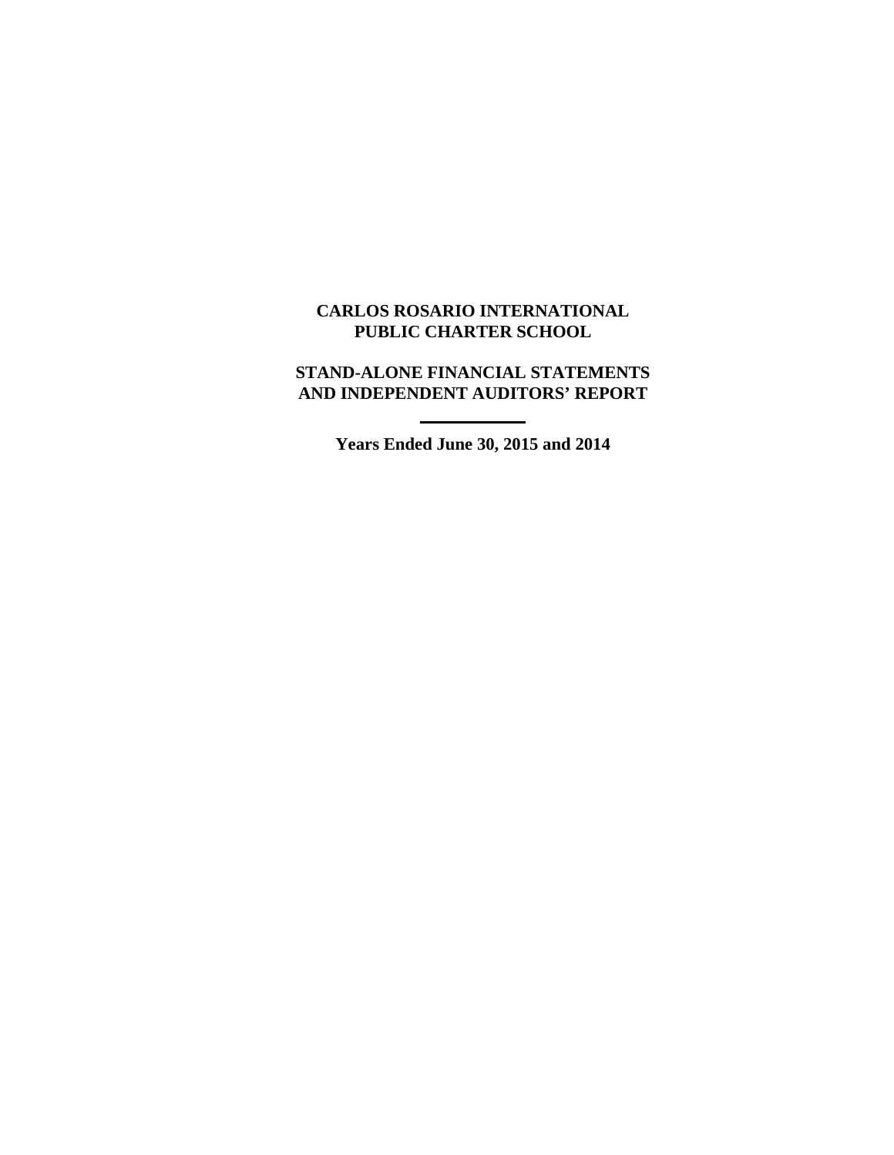# **CARLOS ROSARIO INTERNATIONAL PUBLIC CHARTER SCHOOL**

## **STAND-ALONE FINANCIAL STATEMENTS AND INDEPENDENT AUDITORS' REPORT**

**Years Ended June 30, 2015 and 2014**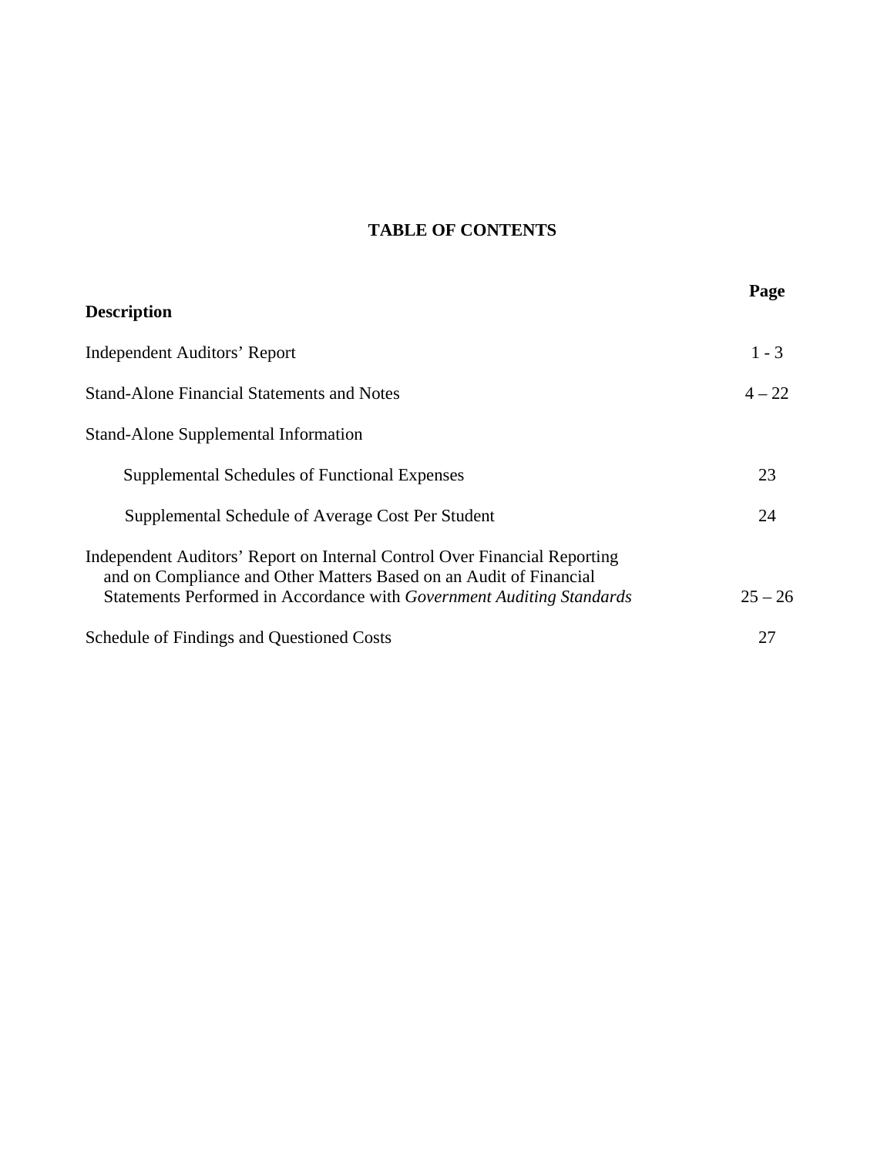# **TABLE OF CONTENTS**

| <b>Description</b>                                                                                                                                                                                                       | Page      |
|--------------------------------------------------------------------------------------------------------------------------------------------------------------------------------------------------------------------------|-----------|
| <b>Independent Auditors' Report</b>                                                                                                                                                                                      | $1 - 3$   |
| <b>Stand-Alone Financial Statements and Notes</b>                                                                                                                                                                        | $4 - 22$  |
| <b>Stand-Alone Supplemental Information</b>                                                                                                                                                                              |           |
| Supplemental Schedules of Functional Expenses                                                                                                                                                                            | 23        |
| Supplemental Schedule of Average Cost Per Student                                                                                                                                                                        | 24        |
| Independent Auditors' Report on Internal Control Over Financial Reporting<br>and on Compliance and Other Matters Based on an Audit of Financial<br>Statements Performed in Accordance with Government Auditing Standards | $25 - 26$ |
| <b>Schedule of Findings and Questioned Costs</b>                                                                                                                                                                         | 27        |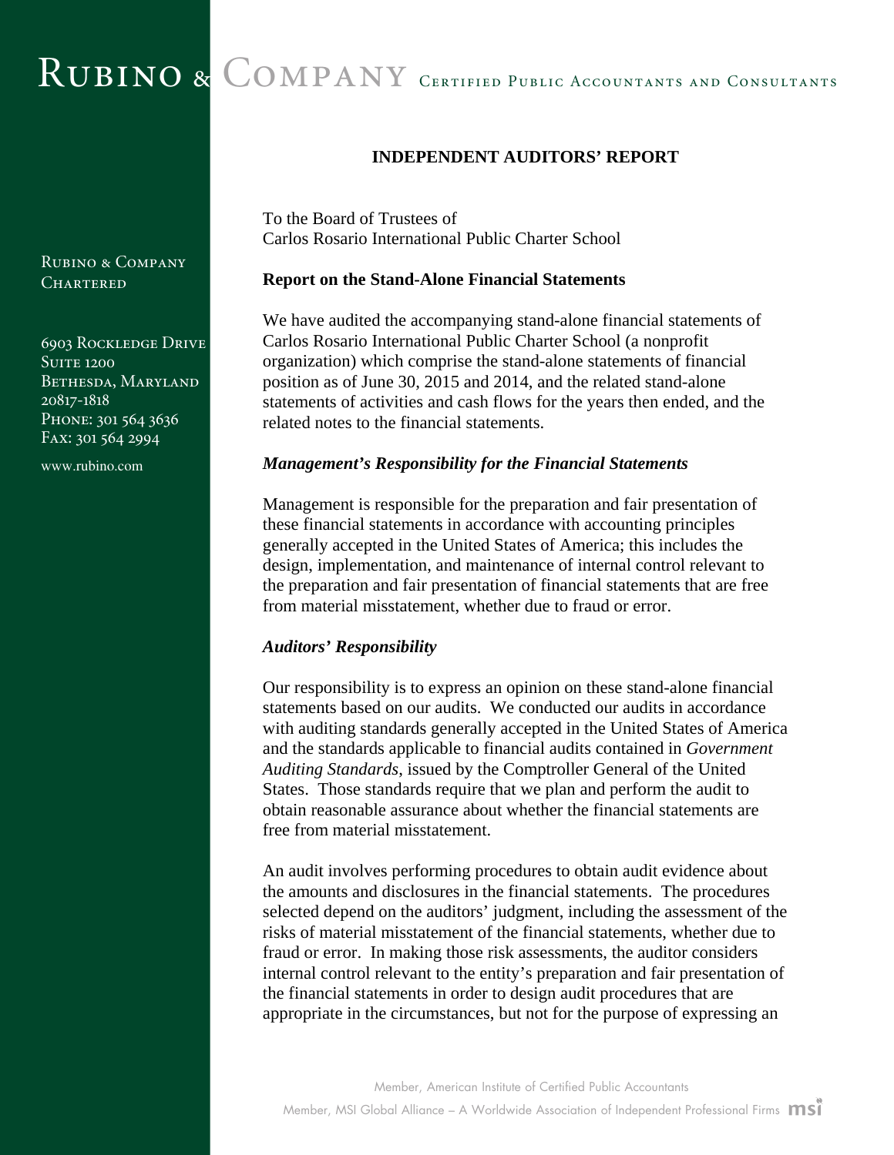# RUBINO & COMPANY CERTIFIED PUBLIC ACCOUNTANTS AND CONSULTANTS

**INDEPENDENT AUDITORS' REPORT** 

To the Board of Trustees of Carlos Rosario International Public Charter School

#### **Report on the Stand-Alone Financial Statements**

We have audited the accompanying stand-alone financial statements of Carlos Rosario International Public Charter School (a nonprofit organization) which comprise the stand-alone statements of financial position as of June 30, 2015 and 2014, and the related stand-alone statements of activities and cash flows for the years then ended, and the related notes to the financial statements.

#### *Management's Responsibility for the Financial Statements*

Management is responsible for the preparation and fair presentation of these financial statements in accordance with accounting principles generally accepted in the United States of America; this includes the design, implementation, and maintenance of internal control relevant to the preparation and fair presentation of financial statements that are free from material misstatement, whether due to fraud or error.

## *Auditors' Responsibility*

Our responsibility is to express an opinion on these stand-alone financial statements based on our audits. We conducted our audits in accordance with auditing standards generally accepted in the United States of America and the standards applicable to financial audits contained in *Government Auditing Standards*, issued by the Comptroller General of the United States. Those standards require that we plan and perform the audit to obtain reasonable assurance about whether the financial statements are free from material misstatement.

An audit involves performing procedures to obtain audit evidence about the amounts and disclosures in the financial statements. The procedures selected depend on the auditors' judgment, including the assessment of the risks of material misstatement of the financial statements, whether due to fraud or error. In making those risk assessments, the auditor considers internal control relevant to the entity's preparation and fair presentation of the financial statements in order to design audit procedures that are appropriate in the circumstances, but not for the purpose of expressing an

Rubino & Company CHARTERED

6903 Rockledge Drive **SUITE 1200** BETHESDA, MARYLAND 20817-1818 PHONE: 301 564 3636 Fax: 301 564 2994

www.rubino.com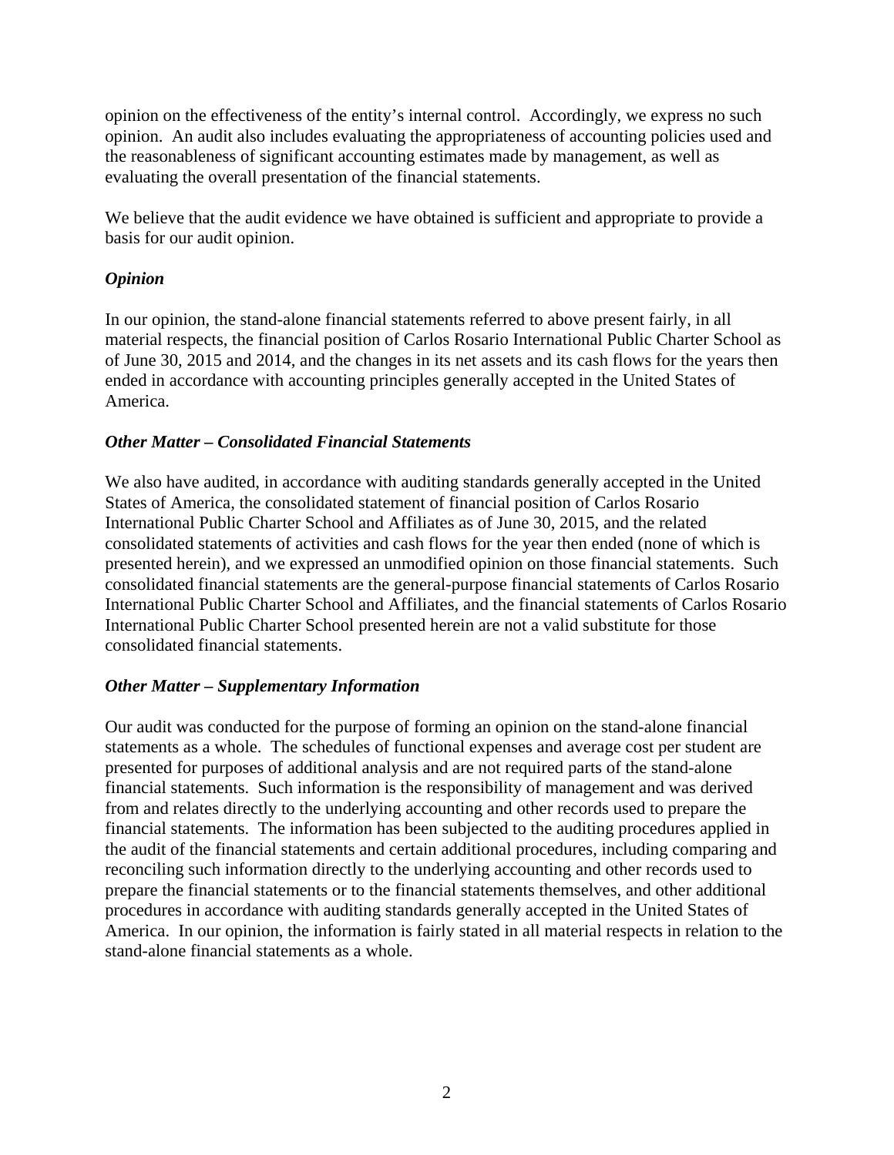opinion on the effectiveness of the entity's internal control. Accordingly, we express no such opinion. An audit also includes evaluating the appropriateness of accounting policies used and the reasonableness of significant accounting estimates made by management, as well as evaluating the overall presentation of the financial statements.

We believe that the audit evidence we have obtained is sufficient and appropriate to provide a basis for our audit opinion.

## *Opinion*

In our opinion, the stand-alone financial statements referred to above present fairly, in all material respects, the financial position of Carlos Rosario International Public Charter School as of June 30, 2015 and 2014, and the changes in its net assets and its cash flows for the years then ended in accordance with accounting principles generally accepted in the United States of America.

## *Other Matter – Consolidated Financial Statements*

We also have audited, in accordance with auditing standards generally accepted in the United States of America, the consolidated statement of financial position of Carlos Rosario International Public Charter School and Affiliates as of June 30, 2015, and the related consolidated statements of activities and cash flows for the year then ended (none of which is presented herein), and we expressed an unmodified opinion on those financial statements. Such consolidated financial statements are the general-purpose financial statements of Carlos Rosario International Public Charter School and Affiliates, and the financial statements of Carlos Rosario International Public Charter School presented herein are not a valid substitute for those consolidated financial statements.

## *Other Matter – Supplementary Information*

Our audit was conducted for the purpose of forming an opinion on the stand-alone financial statements as a whole. The schedules of functional expenses and average cost per student are presented for purposes of additional analysis and are not required parts of the stand-alone financial statements. Such information is the responsibility of management and was derived from and relates directly to the underlying accounting and other records used to prepare the financial statements. The information has been subjected to the auditing procedures applied in the audit of the financial statements and certain additional procedures, including comparing and reconciling such information directly to the underlying accounting and other records used to prepare the financial statements or to the financial statements themselves, and other additional procedures in accordance with auditing standards generally accepted in the United States of America. In our opinion, the information is fairly stated in all material respects in relation to the stand-alone financial statements as a whole.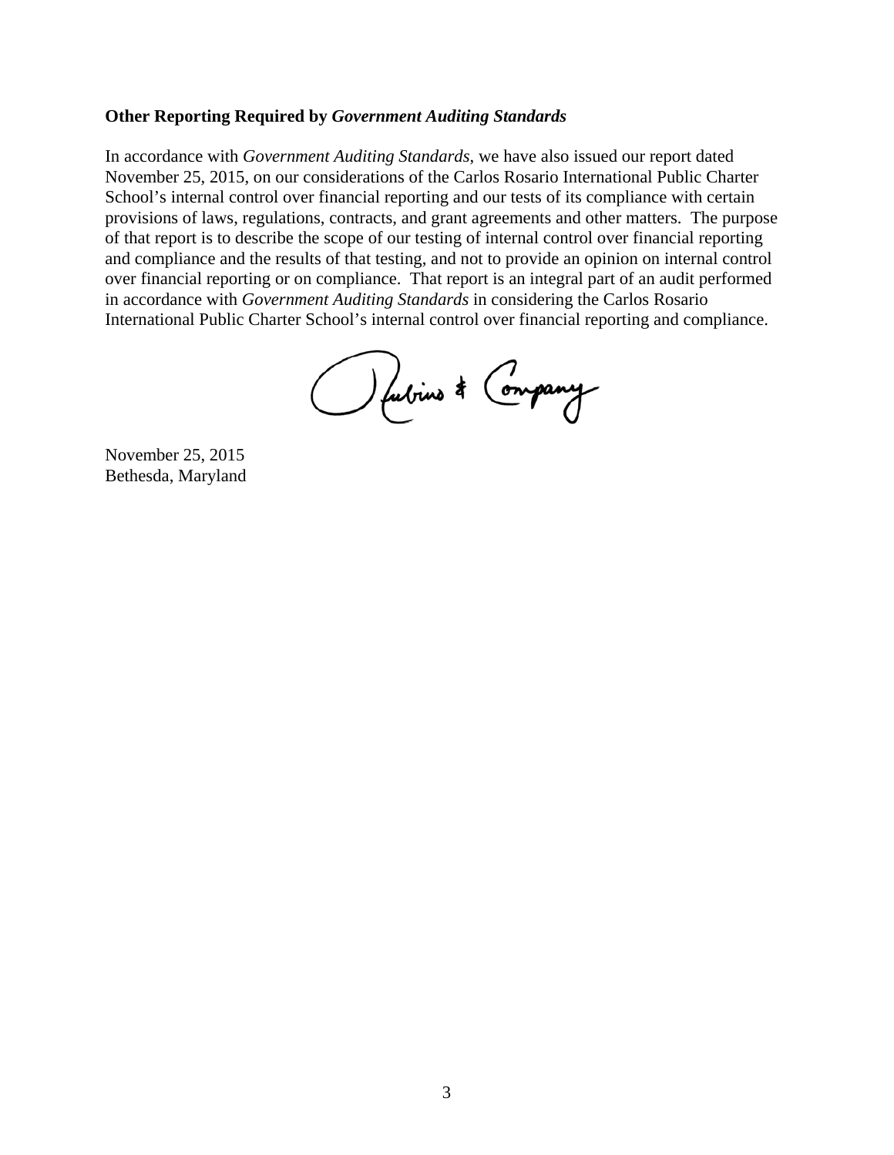## **Other Reporting Required by** *Government Auditing Standards*

In accordance with *Government Auditing Standards*, we have also issued our report dated November 25, 2015, on our considerations of the Carlos Rosario International Public Charter School's internal control over financial reporting and our tests of its compliance with certain provisions of laws, regulations, contracts, and grant agreements and other matters. The purpose of that report is to describe the scope of our testing of internal control over financial reporting and compliance and the results of that testing, and not to provide an opinion on internal control over financial reporting or on compliance. That report is an integral part of an audit performed in accordance with *Government Auditing Standards* in considering the Carlos Rosario International Public Charter School's internal control over financial reporting and compliance.

Outrine & Company

November 25, 2015 Bethesda, Maryland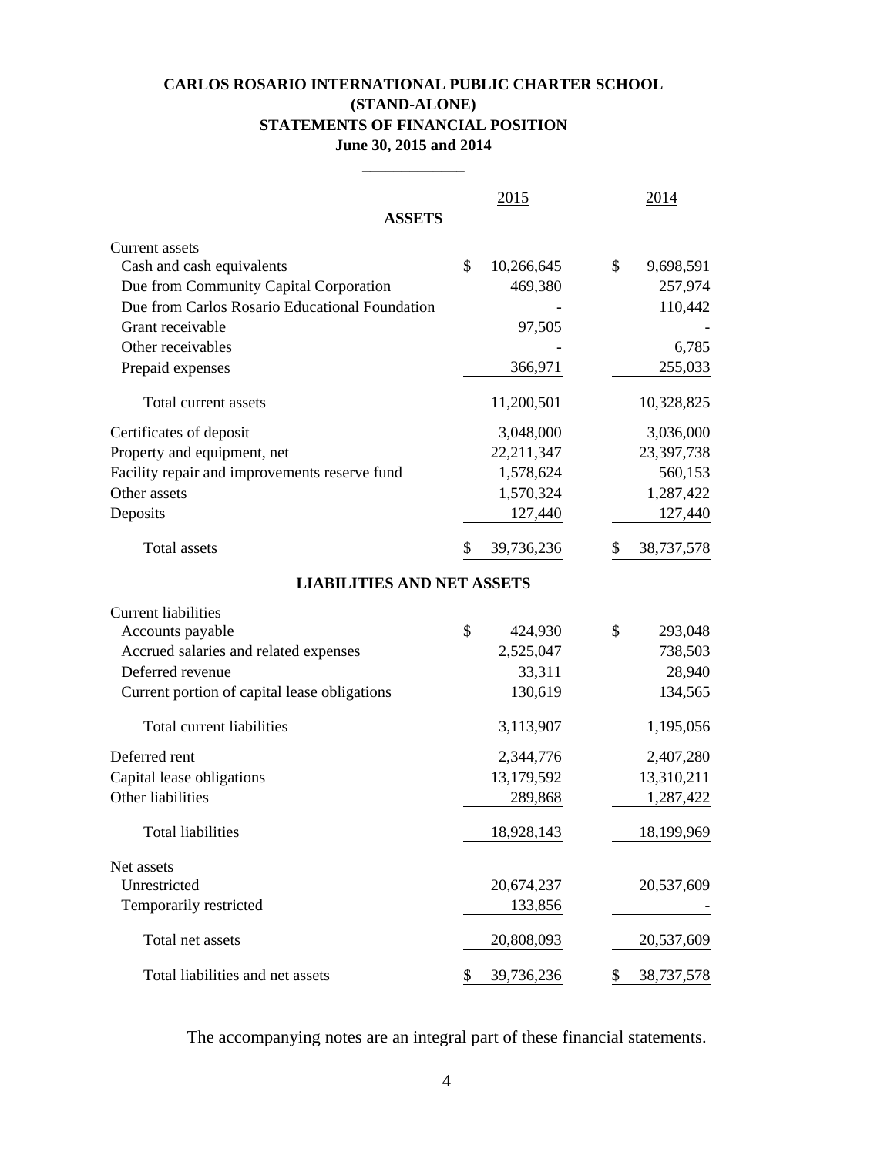## **CARLOS ROSARIO INTERNATIONAL PUBLIC CHARTER SCHOOL (STAND-ALONE) STATEMENTS OF FINANCIAL POSITION June 30, 2015 and 2014**

**\_\_\_\_\_\_\_\_\_\_\_\_\_**

| <b>ASSETS</b>                                  | 2015             |               | 2014       |
|------------------------------------------------|------------------|---------------|------------|
| Current assets                                 |                  |               |            |
| Cash and cash equivalents                      | \$<br>10,266,645 | \$            | 9,698,591  |
| Due from Community Capital Corporation         |                  | 469,380       | 257,974    |
| Due from Carlos Rosario Educational Foundation |                  |               | 110,442    |
| Grant receivable                               |                  | 97,505        |            |
| Other receivables                              |                  |               | 6,785      |
| Prepaid expenses                               |                  | 366,971       | 255,033    |
| Total current assets                           | 11,200,501       |               | 10,328,825 |
| Certificates of deposit                        | 3,048,000        |               | 3,036,000  |
| Property and equipment, net                    | 22,211,347       |               | 23,397,738 |
| Facility repair and improvements reserve fund  | 1,578,624        |               | 560,153    |
| Other assets                                   | 1,570,324        |               | 1,287,422  |
| Deposits                                       |                  | 127,440       | 127,440    |
| <b>Total assets</b>                            | S<br>39,736,236  |               | 38,737,578 |
| <b>LIABILITIES AND NET ASSETS</b>              |                  |               |            |
| <b>Current liabilities</b>                     |                  |               |            |
| Accounts payable                               | \$               | 424,930<br>\$ | 293,048    |
| Accrued salaries and related expenses          | 2,525,047        |               | 738,503    |
| Deferred revenue                               |                  | 33,311        | 28,940     |
| Current portion of capital lease obligations   |                  | 130,619       | 134,565    |
| Total current liabilities                      | 3,113,907        |               | 1,195,056  |
| Deferred rent                                  | 2,344,776        |               | 2,407,280  |
| Capital lease obligations                      | 13,179,592       |               | 13,310,211 |
| Other liabilities                              |                  | 289,868       | 1,287,422  |
| <b>Total liabilities</b>                       | 18,928,143       |               | 18,199,969 |
| Net assets                                     |                  |               |            |
| Unrestricted                                   | 20,674,237       |               | 20,537,609 |
| Temporarily restricted                         |                  | 133,856       |            |
| Total net assets                               | 20,808,093       |               | 20,537,609 |
| Total liabilities and net assets               | 39,736,236<br>\$ | \$            | 38,737,578 |

The accompanying notes are an integral part of these financial statements.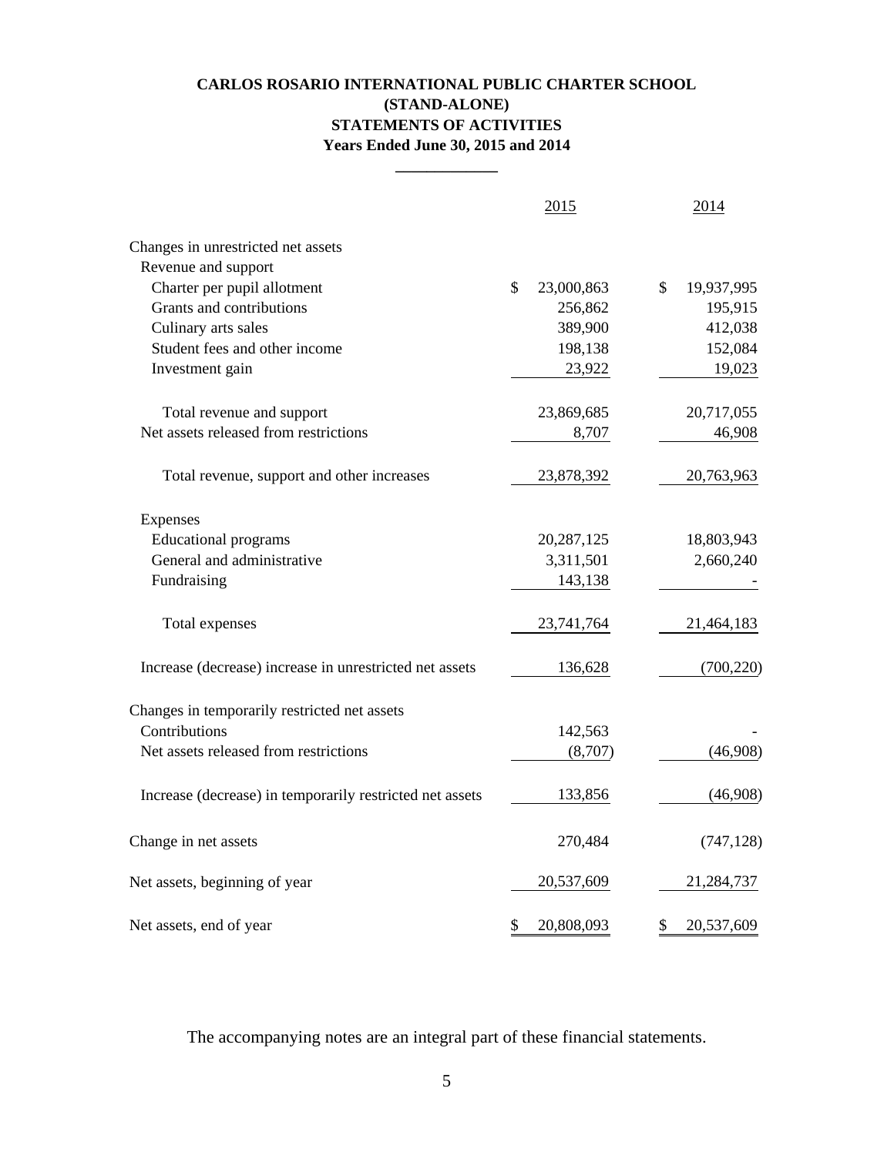## **CARLOS ROSARIO INTERNATIONAL PUBLIC CHARTER SCHOOL (STAND-ALONE) STATEMENTS OF ACTIVITIES Years Ended June 30, 2015 and 2014**

**\_\_\_\_\_\_\_\_\_\_\_\_\_**

|                                                          | 2015             | 2014             |
|----------------------------------------------------------|------------------|------------------|
| Changes in unrestricted net assets                       |                  |                  |
| Revenue and support                                      |                  |                  |
| Charter per pupil allotment                              | \$<br>23,000,863 | \$<br>19,937,995 |
| Grants and contributions                                 | 256,862          | 195,915          |
| Culinary arts sales                                      | 389,900          | 412,038          |
| Student fees and other income                            | 198,138          | 152,084          |
| Investment gain                                          | 23,922           | 19,023           |
| Total revenue and support                                | 23,869,685       | 20,717,055       |
| Net assets released from restrictions                    | 8,707            | 46,908           |
| Total revenue, support and other increases               | 23,878,392       | 20,763,963       |
| Expenses                                                 |                  |                  |
| <b>Educational programs</b>                              | 20, 287, 125     | 18,803,943       |
| General and administrative                               | 3,311,501        | 2,660,240        |
| Fundraising                                              | 143,138          |                  |
| Total expenses                                           | 23,741,764       | 21,464,183       |
| Increase (decrease) increase in unrestricted net assets  | 136,628          | (700, 220)       |
| Changes in temporarily restricted net assets             |                  |                  |
| Contributions                                            | 142,563          |                  |
| Net assets released from restrictions                    | (8,707)          | (46,908)         |
| Increase (decrease) in temporarily restricted net assets | 133,856          | (46,908)         |
| Change in net assets                                     | 270,484          | (747, 128)       |
| Net assets, beginning of year                            | 20,537,609       | 21,284,737       |
| Net assets, end of year                                  | \$<br>20,808,093 | \$<br>20,537,609 |

The accompanying notes are an integral part of these financial statements.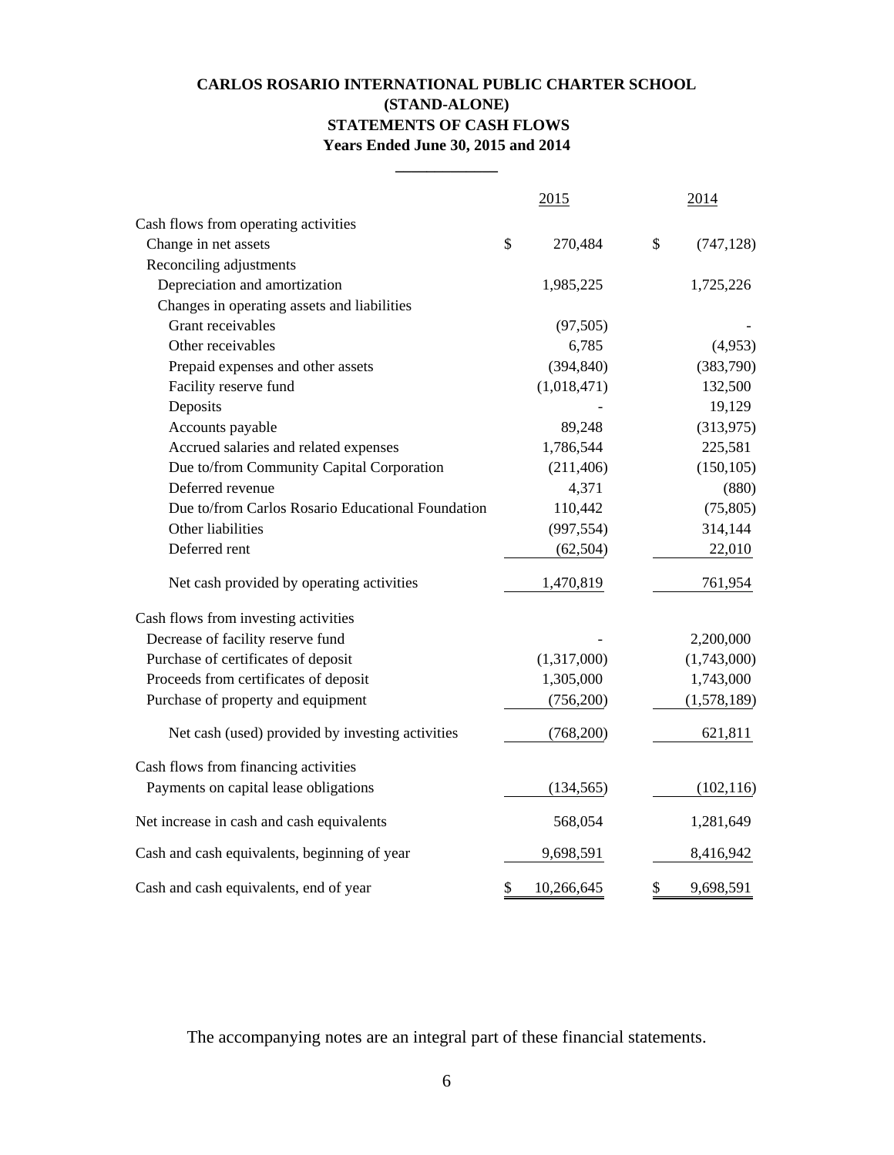## **CARLOS ROSARIO INTERNATIONAL PUBLIC CHARTER SCHOOL (STAND-ALONE) STATEMENTS OF CASH FLOWS Years Ended June 30, 2015 and 2014**

**\_\_\_\_\_\_\_\_\_\_\_\_\_**

|                                                   | 2015             | 2014             |
|---------------------------------------------------|------------------|------------------|
| Cash flows from operating activities              |                  |                  |
| Change in net assets                              | \$<br>270,484    | \$<br>(747, 128) |
| Reconciling adjustments                           |                  |                  |
| Depreciation and amortization                     | 1,985,225        | 1,725,226        |
| Changes in operating assets and liabilities       |                  |                  |
| Grant receivables                                 | (97, 505)        |                  |
| Other receivables                                 | 6,785            | (4,953)          |
| Prepaid expenses and other assets                 | (394, 840)       | (383,790)        |
| Facility reserve fund                             | (1,018,471)      | 132,500          |
| Deposits                                          |                  | 19,129           |
| Accounts payable                                  | 89,248           | (313,975)        |
| Accrued salaries and related expenses             | 1,786,544        | 225,581          |
| Due to/from Community Capital Corporation         | (211, 406)       | (150, 105)       |
| Deferred revenue                                  | 4,371            | (880)            |
| Due to/from Carlos Rosario Educational Foundation | 110,442          | (75, 805)        |
| Other liabilities                                 | (997, 554)       | 314,144          |
| Deferred rent                                     | (62, 504)        | 22,010           |
| Net cash provided by operating activities         | 1,470,819        | 761,954          |
| Cash flows from investing activities              |                  |                  |
| Decrease of facility reserve fund                 |                  | 2,200,000        |
| Purchase of certificates of deposit               | (1,317,000)      | (1,743,000)      |
| Proceeds from certificates of deposit             | 1,305,000        | 1,743,000        |
| Purchase of property and equipment                | (756,200)        | (1,578,189)      |
| Net cash (used) provided by investing activities  | (768,200)        | 621,811          |
| Cash flows from financing activities              |                  |                  |
| Payments on capital lease obligations             | (134, 565)       | (102, 116)       |
| Net increase in cash and cash equivalents         | 568,054          | 1,281,649        |
| Cash and cash equivalents, beginning of year      | 9,698,591        | 8,416,942        |
| Cash and cash equivalents, end of year            | \$<br>10,266,645 | \$<br>9,698,591  |

The accompanying notes are an integral part of these financial statements.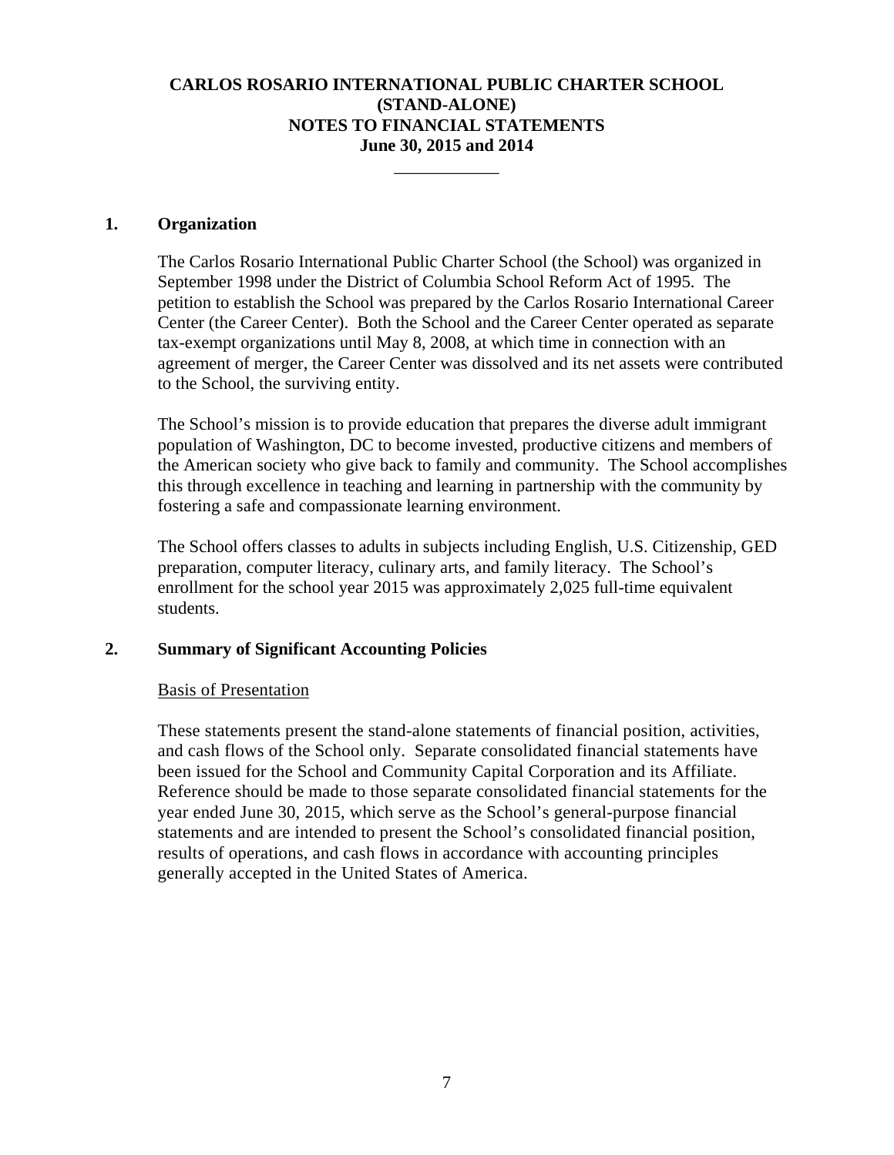\_\_\_\_\_\_\_\_\_\_\_\_

#### **1. Organization**

The Carlos Rosario International Public Charter School (the School) was organized in September 1998 under the District of Columbia School Reform Act of 1995. The petition to establish the School was prepared by the Carlos Rosario International Career Center (the Career Center). Both the School and the Career Center operated as separate tax-exempt organizations until May 8, 2008, at which time in connection with an agreement of merger, the Career Center was dissolved and its net assets were contributed to the School, the surviving entity.

The School's mission is to provide education that prepares the diverse adult immigrant population of Washington, DC to become invested, productive citizens and members of the American society who give back to family and community. The School accomplishes this through excellence in teaching and learning in partnership with the community by fostering a safe and compassionate learning environment.

The School offers classes to adults in subjects including English, U.S. Citizenship, GED preparation, computer literacy, culinary arts, and family literacy. The School's enrollment for the school year 2015 was approximately 2,025 full-time equivalent students.

## **2. Summary of Significant Accounting Policies**

## Basis of Presentation

These statements present the stand-alone statements of financial position, activities, and cash flows of the School only. Separate consolidated financial statements have been issued for the School and Community Capital Corporation and its Affiliate. Reference should be made to those separate consolidated financial statements for the year ended June 30, 2015, which serve as the School's general-purpose financial statements and are intended to present the School's consolidated financial position, results of operations, and cash flows in accordance with accounting principles generally accepted in the United States of America.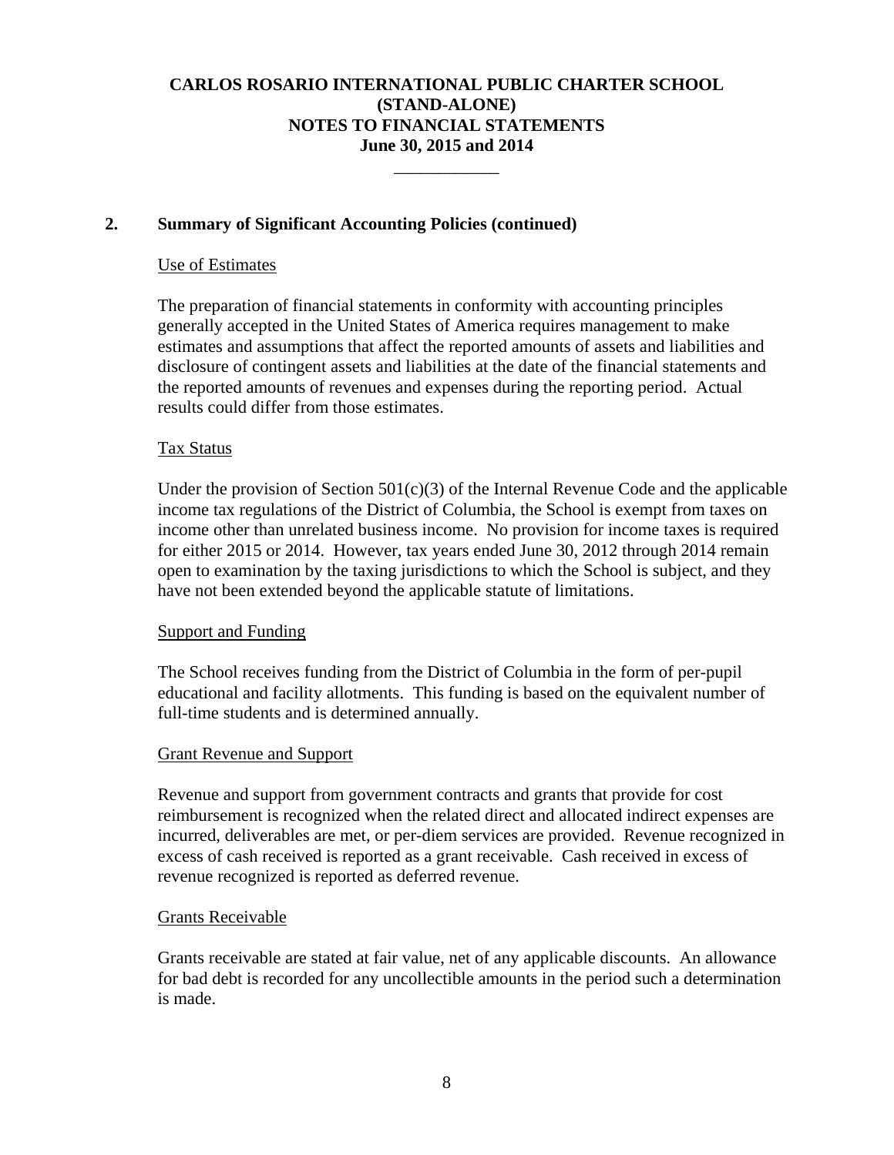\_\_\_\_\_\_\_\_\_\_\_\_

## **2. Summary of Significant Accounting Policies (continued)**

#### Use of Estimates

The preparation of financial statements in conformity with accounting principles generally accepted in the United States of America requires management to make estimates and assumptions that affect the reported amounts of assets and liabilities and disclosure of contingent assets and liabilities at the date of the financial statements and the reported amounts of revenues and expenses during the reporting period. Actual results could differ from those estimates.

## Tax Status

Under the provision of Section  $501(c)(3)$  of the Internal Revenue Code and the applicable income tax regulations of the District of Columbia, the School is exempt from taxes on income other than unrelated business income. No provision for income taxes is required for either 2015 or 2014. However, tax years ended June 30, 2012 through 2014 remain open to examination by the taxing jurisdictions to which the School is subject, and they have not been extended beyond the applicable statute of limitations.

## Support and Funding

The School receives funding from the District of Columbia in the form of per-pupil educational and facility allotments. This funding is based on the equivalent number of full-time students and is determined annually.

## Grant Revenue and Support

Revenue and support from government contracts and grants that provide for cost reimbursement is recognized when the related direct and allocated indirect expenses are incurred, deliverables are met, or per-diem services are provided. Revenue recognized in excess of cash received is reported as a grant receivable. Cash received in excess of revenue recognized is reported as deferred revenue.

## Grants Receivable

Grants receivable are stated at fair value, net of any applicable discounts. An allowance for bad debt is recorded for any uncollectible amounts in the period such a determination is made.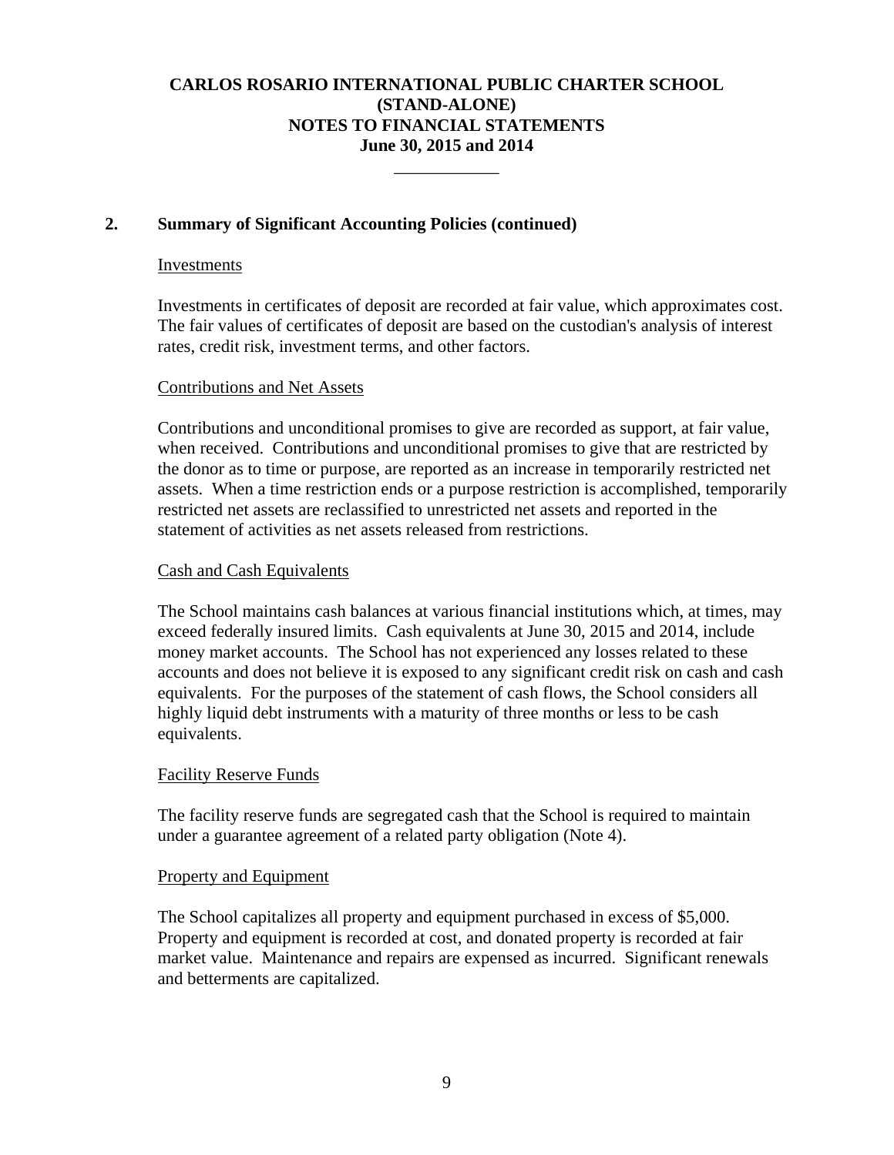\_\_\_\_\_\_\_\_\_\_\_\_

## **2. Summary of Significant Accounting Policies (continued)**

#### Investments

Investments in certificates of deposit are recorded at fair value, which approximates cost. The fair values of certificates of deposit are based on the custodian's analysis of interest rates, credit risk, investment terms, and other factors.

#### Contributions and Net Assets

Contributions and unconditional promises to give are recorded as support, at fair value, when received. Contributions and unconditional promises to give that are restricted by the donor as to time or purpose, are reported as an increase in temporarily restricted net assets. When a time restriction ends or a purpose restriction is accomplished, temporarily restricted net assets are reclassified to unrestricted net assets and reported in the statement of activities as net assets released from restrictions.

## Cash and Cash Equivalents

The School maintains cash balances at various financial institutions which, at times, may exceed federally insured limits. Cash equivalents at June 30, 2015 and 2014, include money market accounts. The School has not experienced any losses related to these accounts and does not believe it is exposed to any significant credit risk on cash and cash equivalents. For the purposes of the statement of cash flows, the School considers all highly liquid debt instruments with a maturity of three months or less to be cash equivalents.

## Facility Reserve Funds

The facility reserve funds are segregated cash that the School is required to maintain under a guarantee agreement of a related party obligation (Note 4).

## Property and Equipment

The School capitalizes all property and equipment purchased in excess of \$5,000. Property and equipment is recorded at cost, and donated property is recorded at fair market value. Maintenance and repairs are expensed as incurred. Significant renewals and betterments are capitalized.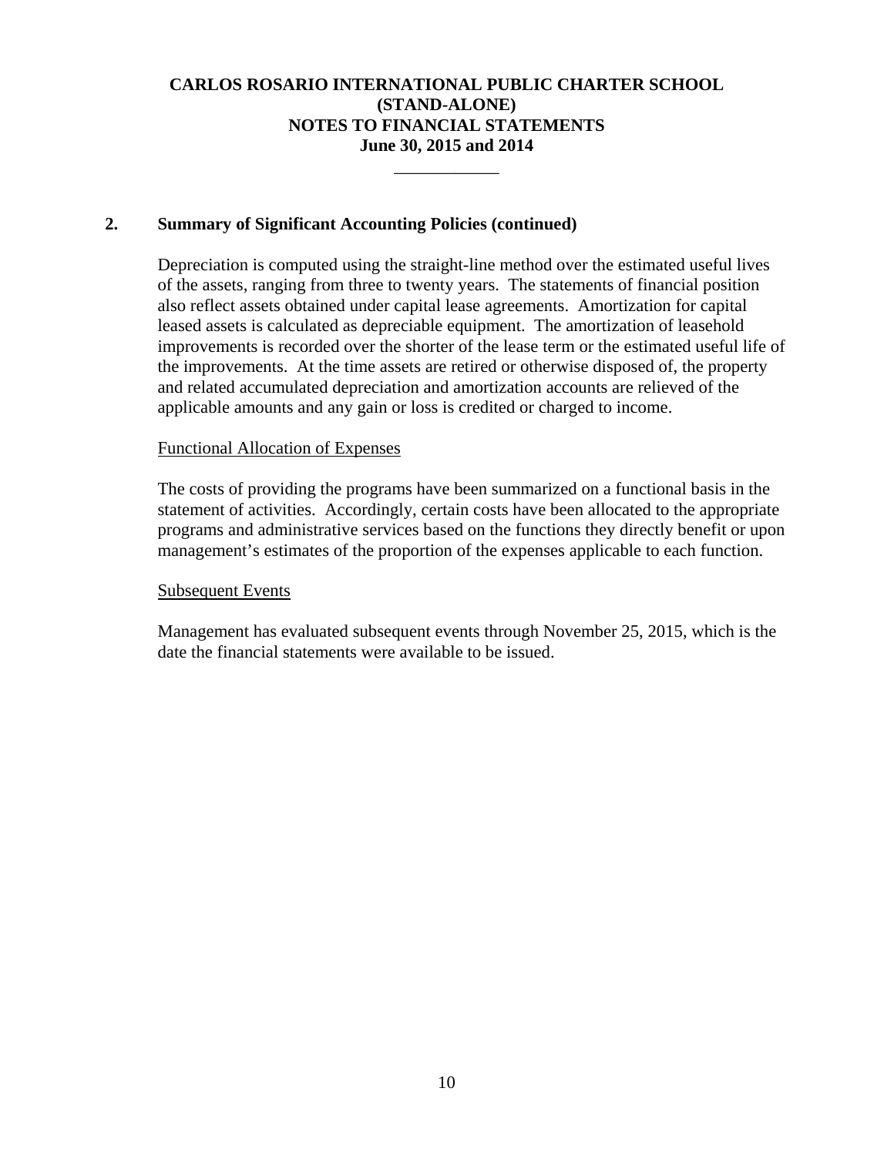\_\_\_\_\_\_\_\_\_\_\_\_

## **2. Summary of Significant Accounting Policies (continued)**

Depreciation is computed using the straight-line method over the estimated useful lives of the assets, ranging from three to twenty years. The statements of financial position also reflect assets obtained under capital lease agreements. Amortization for capital leased assets is calculated as depreciable equipment. The amortization of leasehold improvements is recorded over the shorter of the lease term or the estimated useful life of the improvements. At the time assets are retired or otherwise disposed of, the property and related accumulated depreciation and amortization accounts are relieved of the applicable amounts and any gain or loss is credited or charged to income.

## Functional Allocation of Expenses

The costs of providing the programs have been summarized on a functional basis in the statement of activities. Accordingly, certain costs have been allocated to the appropriate programs and administrative services based on the functions they directly benefit or upon management's estimates of the proportion of the expenses applicable to each function.

## Subsequent Events

Management has evaluated subsequent events through November 25, 2015, which is the date the financial statements were available to be issued.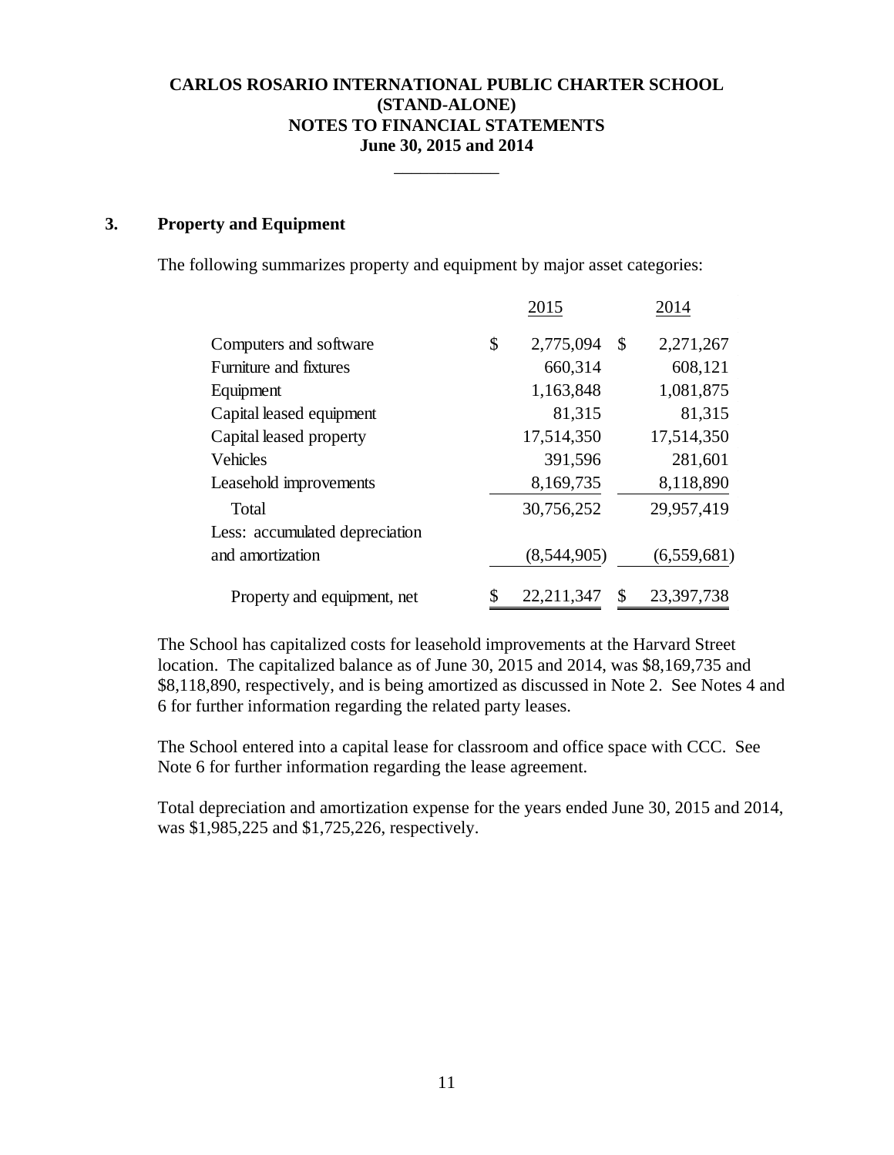\_\_\_\_\_\_\_\_\_\_\_\_

## **3. Property and Equipment**

The following summarizes property and equipment by major asset categories:

|                                | 2015             | 2014             |
|--------------------------------|------------------|------------------|
| Computers and software         | \$<br>2,775,094  | \$<br>2,271,267  |
| Furniture and fixtures         | 660,314          | 608,121          |
| Equipment                      | 1,163,848        | 1,081,875        |
| Capital leased equipment       | 81,315           | 81,315           |
| Capital leased property        | 17,514,350       | 17,514,350       |
| Vehicles                       | 391,596          | 281,601          |
| Leasehold improvements         | 8,169,735        | 8,118,890        |
| Total                          | 30,756,252       | 29,957,419       |
| Less: accumulated depreciation |                  |                  |
| and amortization               | (8,544,905)      | (6,559,681)      |
| Property and equipment, net    | \$<br>22,211,347 | \$<br>23,397,738 |

The School has capitalized costs for leasehold improvements at the Harvard Street location. The capitalized balance as of June 30, 2015 and 2014, was \$8,169,735 and \$8,118,890, respectively, and is being amortized as discussed in Note 2. See Notes 4 and 6 for further information regarding the related party leases.

The School entered into a capital lease for classroom and office space with CCC. See Note 6 for further information regarding the lease agreement.

Total depreciation and amortization expense for the years ended June 30, 2015 and 2014, was \$1,985,225 and \$1,725,226, respectively.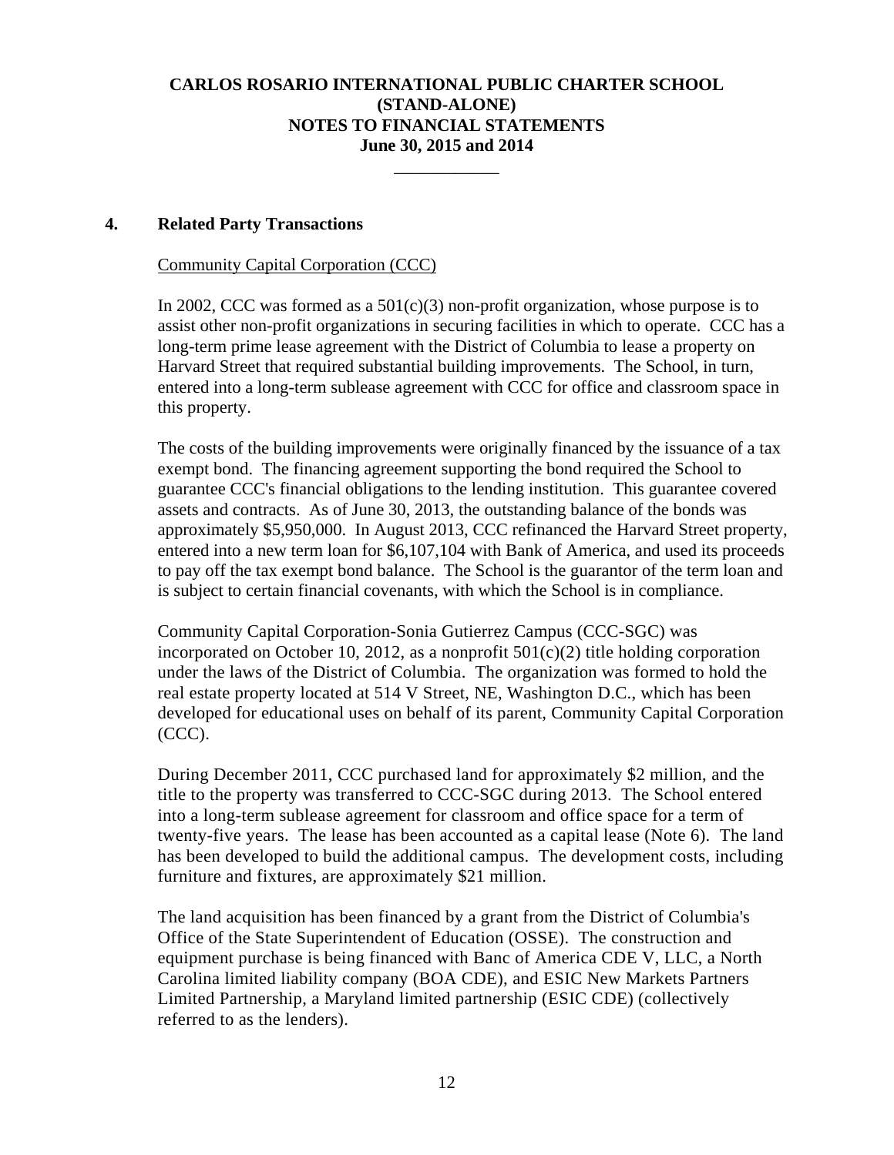\_\_\_\_\_\_\_\_\_\_\_\_

## **4. Related Party Transactions**

#### Community Capital Corporation (CCC)

In 2002, CCC was formed as a  $501(c)(3)$  non-profit organization, whose purpose is to assist other non-profit organizations in securing facilities in which to operate. CCC has a long-term prime lease agreement with the District of Columbia to lease a property on Harvard Street that required substantial building improvements. The School, in turn, entered into a long-term sublease agreement with CCC for office and classroom space in this property.

The costs of the building improvements were originally financed by the issuance of a tax exempt bond. The financing agreement supporting the bond required the School to guarantee CCC's financial obligations to the lending institution. This guarantee covered assets and contracts. As of June 30, 2013, the outstanding balance of the bonds was approximately \$5,950,000. In August 2013, CCC refinanced the Harvard Street property, entered into a new term loan for \$6,107,104 with Bank of America, and used its proceeds to pay off the tax exempt bond balance. The School is the guarantor of the term loan and is subject to certain financial covenants, with which the School is in compliance.

Community Capital Corporation-Sonia Gutierrez Campus (CCC-SGC) was incorporated on October 10, 2012, as a nonprofit  $501(c)(2)$  title holding corporation under the laws of the District of Columbia. The organization was formed to hold the real estate property located at 514 V Street, NE, Washington D.C., which has been developed for educational uses on behalf of its parent, Community Capital Corporation (CCC).

During December 2011, CCC purchased land for approximately \$2 million, and the title to the property was transferred to CCC-SGC during 2013. The School entered into a long-term sublease agreement for classroom and office space for a term of twenty-five years. The lease has been accounted as a capital lease (Note 6). The land has been developed to build the additional campus. The development costs, including furniture and fixtures, are approximately \$21 million.

The land acquisition has been financed by a grant from the District of Columbia's Office of the State Superintendent of Education (OSSE). The construction and equipment purchase is being financed with Banc of America CDE V, LLC, a North Carolina limited liability company (BOA CDE), and ESIC New Markets Partners Limited Partnership, a Maryland limited partnership (ESIC CDE) (collectively referred to as the lenders).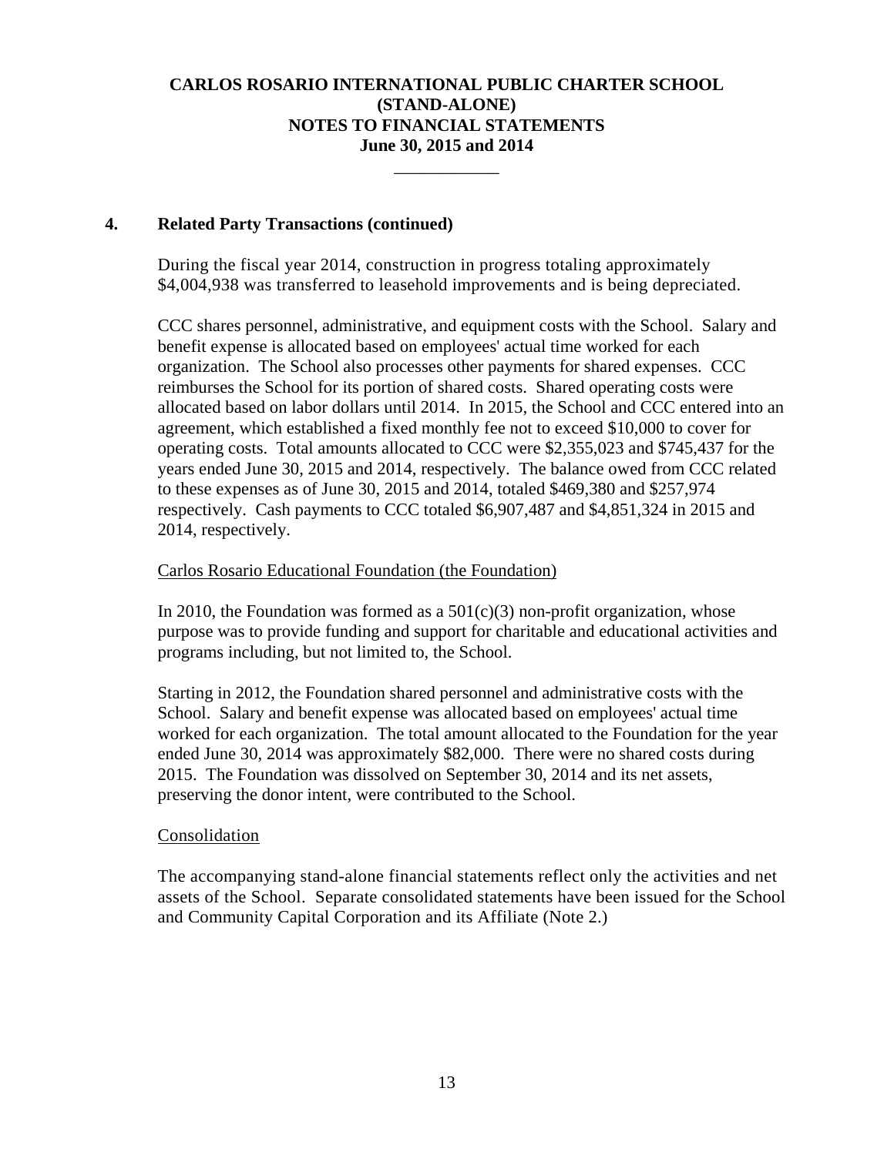\_\_\_\_\_\_\_\_\_\_\_\_

## **4. Related Party Transactions (continued)**

During the fiscal year 2014, construction in progress totaling approximately \$4,004,938 was transferred to leasehold improvements and is being depreciated.

CCC shares personnel, administrative, and equipment costs with the School. Salary and benefit expense is allocated based on employees' actual time worked for each organization. The School also processes other payments for shared expenses. CCC reimburses the School for its portion of shared costs. Shared operating costs were allocated based on labor dollars until 2014. In 2015, the School and CCC entered into an agreement, which established a fixed monthly fee not to exceed \$10,000 to cover for operating costs. Total amounts allocated to CCC were \$2,355,023 and \$745,437 for the years ended June 30, 2015 and 2014, respectively. The balance owed from CCC related to these expenses as of June 30, 2015 and 2014, totaled \$469,380 and \$257,974 respectively. Cash payments to CCC totaled \$6,907,487 and \$4,851,324 in 2015 and 2014, respectively.

## Carlos Rosario Educational Foundation (the Foundation)

In 2010, the Foundation was formed as a  $501(c)(3)$  non-profit organization, whose purpose was to provide funding and support for charitable and educational activities and programs including, but not limited to, the School.

Starting in 2012, the Foundation shared personnel and administrative costs with the School. Salary and benefit expense was allocated based on employees' actual time worked for each organization. The total amount allocated to the Foundation for the year ended June 30, 2014 was approximately \$82,000. There were no shared costs during 2015. The Foundation was dissolved on September 30, 2014 and its net assets, preserving the donor intent, were contributed to the School.

## Consolidation

The accompanying stand-alone financial statements reflect only the activities and net assets of the School. Separate consolidated statements have been issued for the School and Community Capital Corporation and its Affiliate (Note 2.)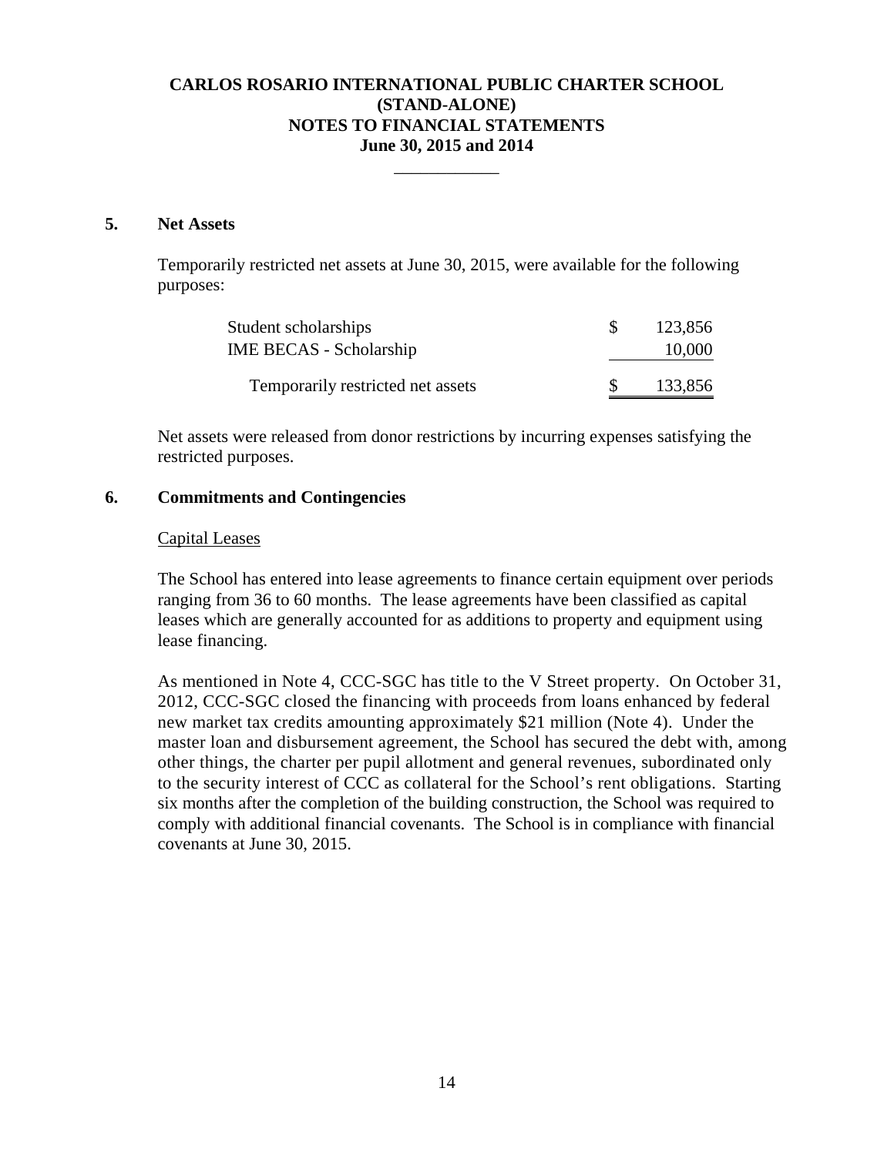\_\_\_\_\_\_\_\_\_\_\_\_

#### **5. Net Assets**

Temporarily restricted net assets at June 30, 2015, were available for the following purposes:

| Student scholarships              | 123,856 |
|-----------------------------------|---------|
| <b>IME BECAS</b> - Scholarship    | 10,000  |
| Temporarily restricted net assets | 133,856 |

Net assets were released from donor restrictions by incurring expenses satisfying the restricted purposes.

## **6. Commitments and Contingencies**

#### Capital Leases

The School has entered into lease agreements to finance certain equipment over periods ranging from 36 to 60 months. The lease agreements have been classified as capital leases which are generally accounted for as additions to property and equipment using lease financing.

As mentioned in Note 4, CCC-SGC has title to the V Street property. On October 31, 2012, CCC-SGC closed the financing with proceeds from loans enhanced by federal new market tax credits amounting approximately \$21 million (Note 4). Under the master loan and disbursement agreement, the School has secured the debt with, among other things, the charter per pupil allotment and general revenues, subordinated only to the security interest of CCC as collateral for the School's rent obligations. Starting six months after the completion of the building construction, the School was required to comply with additional financial covenants. The School is in compliance with financial covenants at June 30, 2015.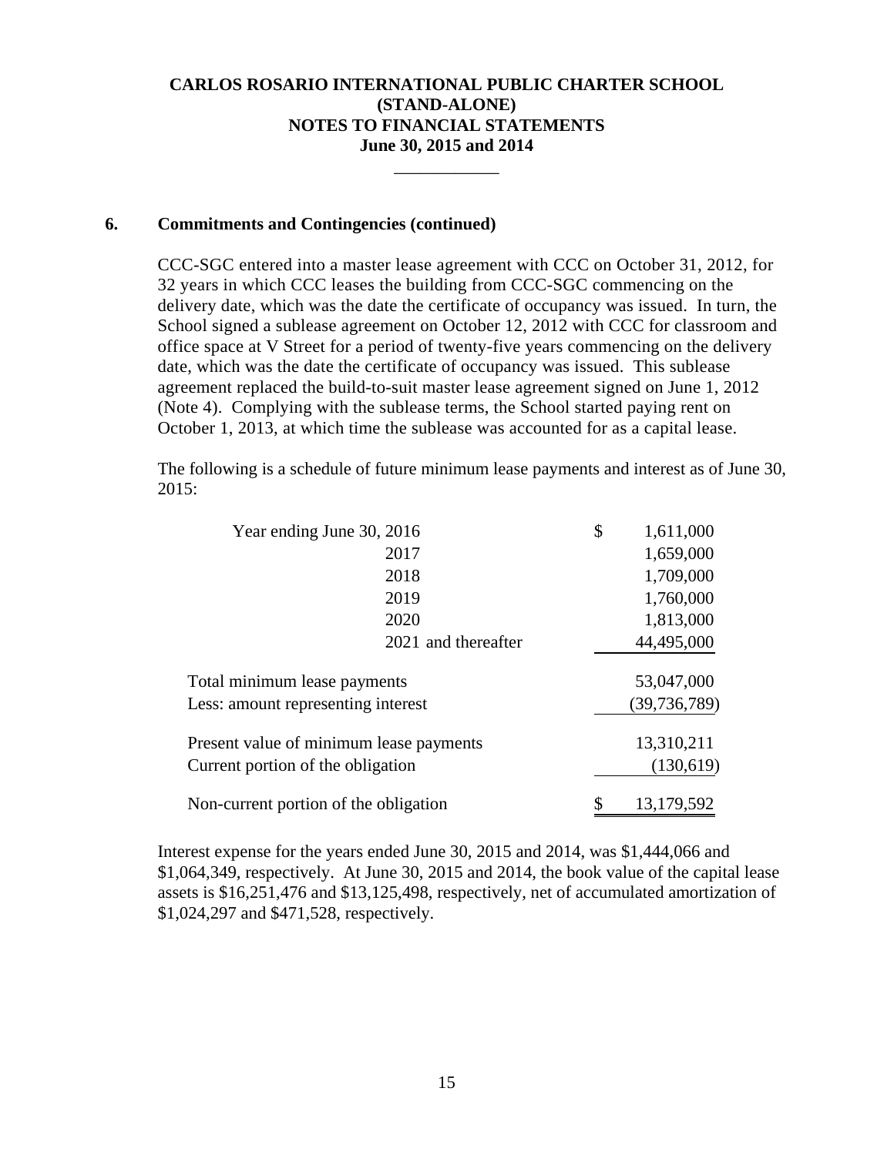\_\_\_\_\_\_\_\_\_\_\_\_

## **6. Commitments and Contingencies (continued)**

CCC-SGC entered into a master lease agreement with CCC on October 31, 2012, for 32 years in which CCC leases the building from CCC-SGC commencing on the delivery date, which was the date the certificate of occupancy was issued. In turn, the School signed a sublease agreement on October 12, 2012 with CCC for classroom and office space at V Street for a period of twenty-five years commencing on the delivery date, which was the date the certificate of occupancy was issued. This sublease agreement replaced the build-to-suit master lease agreement signed on June 1, 2012 (Note 4). Complying with the sublease terms, the School started paying rent on October 1, 2013, at which time the sublease was accounted for as a capital lease.

The following is a schedule of future minimum lease payments and interest as of June 30, 2015:

| Year ending June 30, 2016               | \$<br>1,611,000  |           |
|-----------------------------------------|------------------|-----------|
| 2017                                    | 1,659,000        |           |
| 2018                                    | 1,709,000        |           |
| 2019                                    | 1,760,000        |           |
| 2020                                    | 1,813,000        |           |
| 2021 and thereafter                     | 44,495,000       |           |
| Total minimum lease payments            | 53,047,000       |           |
| Less: amount representing interest      | (39, 736, 789)   |           |
| Present value of minimum lease payments | 13,310,211       |           |
| Current portion of the obligation       |                  | (130,619) |
| Non-current portion of the obligation   | 13,179,592<br>\$ |           |

Interest expense for the years ended June 30, 2015 and 2014, was \$1,444,066 and \$1,064,349, respectively. At June 30, 2015 and 2014, the book value of the capital lease assets is \$16,251,476 and \$13,125,498, respectively, net of accumulated amortization of \$1,024,297 and \$471,528, respectively.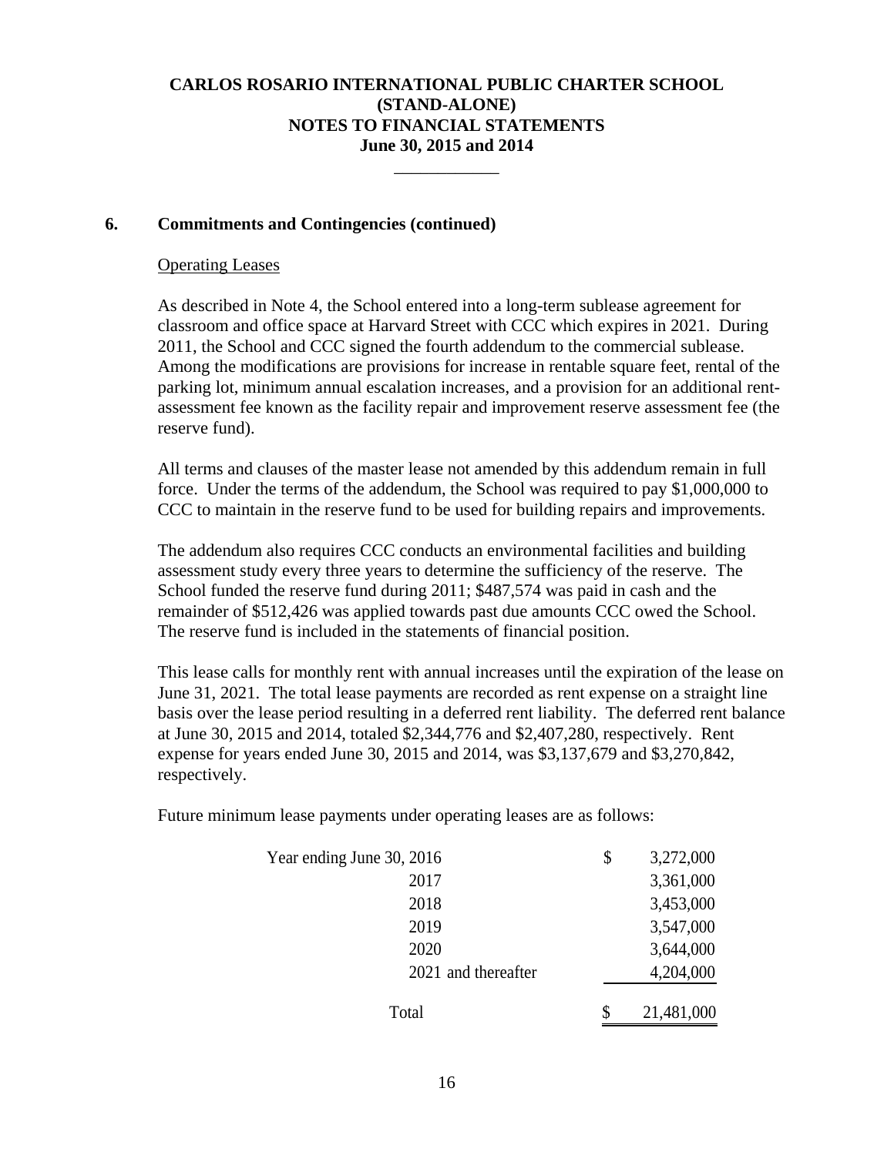\_\_\_\_\_\_\_\_\_\_\_\_

## **6. Commitments and Contingencies (continued)**

#### Operating Leases

As described in Note 4, the School entered into a long-term sublease agreement for classroom and office space at Harvard Street with CCC which expires in 2021. During 2011, the School and CCC signed the fourth addendum to the commercial sublease. Among the modifications are provisions for increase in rentable square feet, rental of the parking lot, minimum annual escalation increases, and a provision for an additional rentassessment fee known as the facility repair and improvement reserve assessment fee (the reserve fund).

All terms and clauses of the master lease not amended by this addendum remain in full force. Under the terms of the addendum, the School was required to pay \$1,000,000 to CCC to maintain in the reserve fund to be used for building repairs and improvements.

The addendum also requires CCC conducts an environmental facilities and building assessment study every three years to determine the sufficiency of the reserve. The School funded the reserve fund during 2011; \$487,574 was paid in cash and the remainder of \$512,426 was applied towards past due amounts CCC owed the School. The reserve fund is included in the statements of financial position.

This lease calls for monthly rent with annual increases until the expiration of the lease on June 31, 2021. The total lease payments are recorded as rent expense on a straight line basis over the lease period resulting in a deferred rent liability. The deferred rent balance at June 30, 2015 and 2014, totaled \$2,344,776 and \$2,407,280, respectively. Rent expense for years ended June 30, 2015 and 2014, was \$3,137,679 and \$3,270,842, respectively.

Future minimum lease payments under operating leases are as follows:

| Year ending June 30, 2016 | \$<br>3,272,000  |
|---------------------------|------------------|
| 2017                      | 3,361,000        |
| 2018                      | 3,453,000        |
| 2019                      | 3,547,000        |
| 2020                      | 3,644,000        |
| 2021 and thereafter       | 4,204,000        |
| Total                     | \$<br>21,481,000 |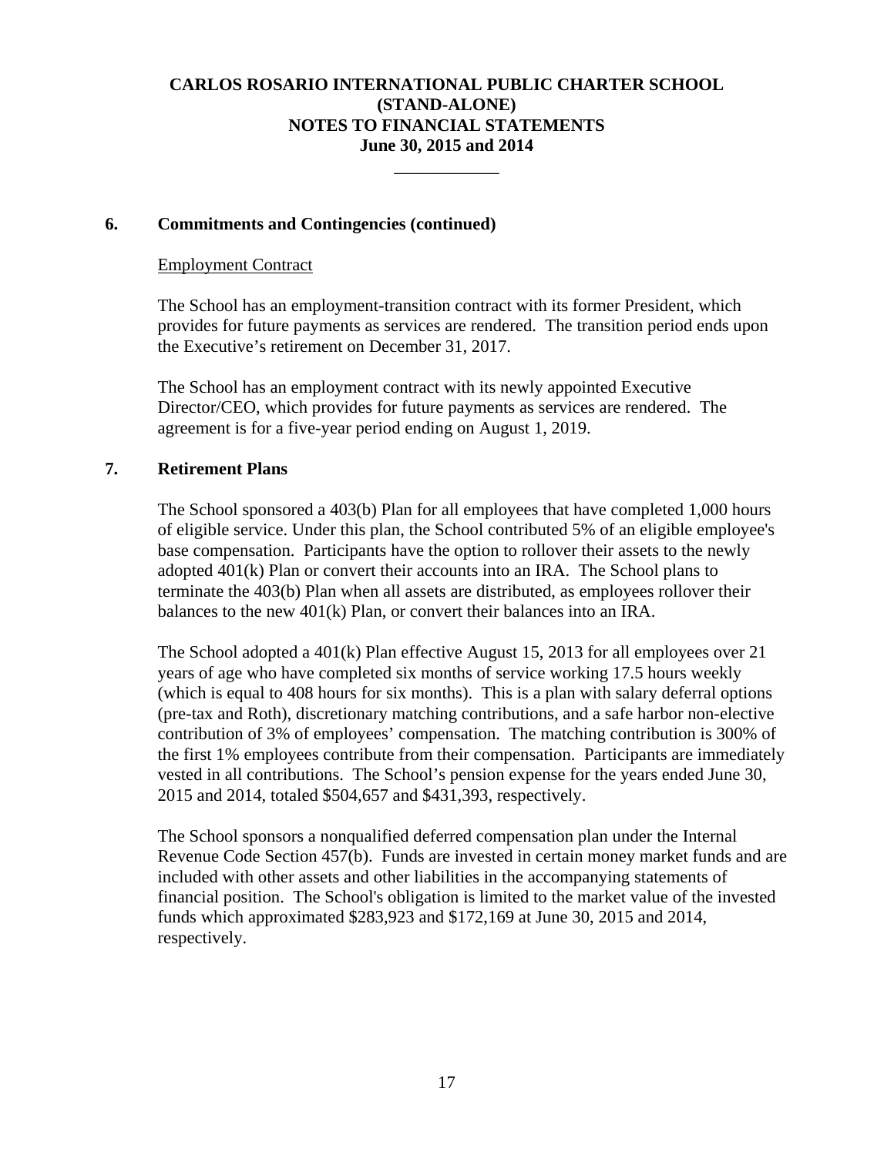\_\_\_\_\_\_\_\_\_\_\_\_

## **6. Commitments and Contingencies (continued)**

#### Employment Contract

The School has an employment-transition contract with its former President, which provides for future payments as services are rendered. The transition period ends upon the Executive's retirement on December 31, 2017.

The School has an employment contract with its newly appointed Executive Director/CEO, which provides for future payments as services are rendered. The agreement is for a five-year period ending on August 1, 2019.

## **7. Retirement Plans**

The School sponsored a 403(b) Plan for all employees that have completed 1,000 hours of eligible service. Under this plan, the School contributed 5% of an eligible employee's base compensation. Participants have the option to rollover their assets to the newly adopted 401(k) Plan or convert their accounts into an IRA. The School plans to terminate the 403(b) Plan when all assets are distributed, as employees rollover their balances to the new 401(k) Plan, or convert their balances into an IRA.

The School adopted a 401(k) Plan effective August 15, 2013 for all employees over 21 years of age who have completed six months of service working 17.5 hours weekly (which is equal to 408 hours for six months). This is a plan with salary deferral options (pre-tax and Roth), discretionary matching contributions, and a safe harbor non-elective contribution of 3% of employees' compensation. The matching contribution is 300% of the first 1% employees contribute from their compensation. Participants are immediately vested in all contributions. The School's pension expense for the years ended June 30, 2015 and 2014, totaled \$504,657 and \$431,393, respectively.

The School sponsors a nonqualified deferred compensation plan under the Internal Revenue Code Section 457(b). Funds are invested in certain money market funds and are included with other assets and other liabilities in the accompanying statements of financial position. The School's obligation is limited to the market value of the invested funds which approximated \$283,923 and \$172,169 at June 30, 2015 and 2014, respectively.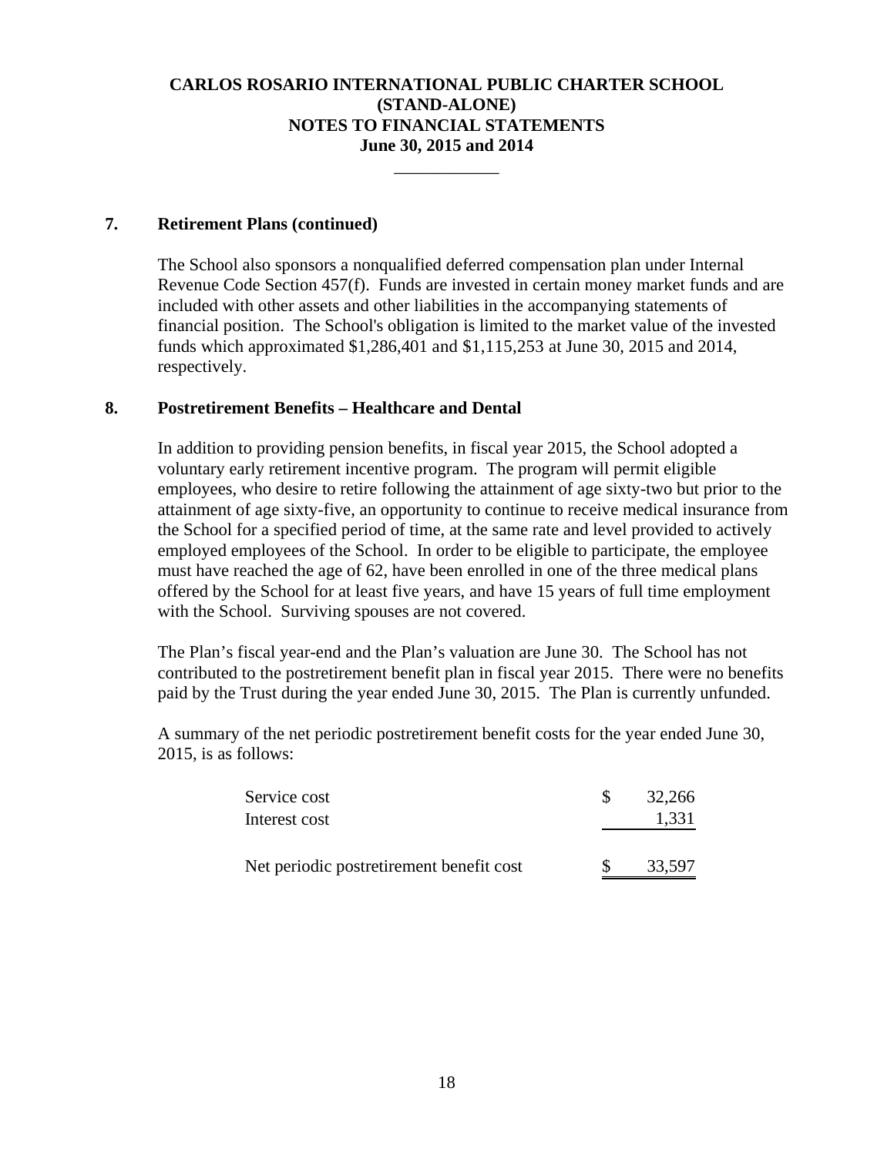\_\_\_\_\_\_\_\_\_\_\_\_

## **7. Retirement Plans (continued)**

The School also sponsors a nonqualified deferred compensation plan under Internal Revenue Code Section 457(f). Funds are invested in certain money market funds and are included with other assets and other liabilities in the accompanying statements of financial position. The School's obligation is limited to the market value of the invested funds which approximated \$1,286,401 and \$1,115,253 at June 30, 2015 and 2014, respectively.

## **8. Postretirement Benefits – Healthcare and Dental**

In addition to providing pension benefits, in fiscal year 2015, the School adopted a voluntary early retirement incentive program. The program will permit eligible employees, who desire to retire following the attainment of age sixty-two but prior to the attainment of age sixty-five, an opportunity to continue to receive medical insurance from the School for a specified period of time, at the same rate and level provided to actively employed employees of the School. In order to be eligible to participate, the employee must have reached the age of 62, have been enrolled in one of the three medical plans offered by the School for at least five years, and have 15 years of full time employment with the School. Surviving spouses are not covered.

The Plan's fiscal year-end and the Plan's valuation are June 30. The School has not contributed to the postretirement benefit plan in fiscal year 2015. There were no benefits paid by the Trust during the year ended June 30, 2015. The Plan is currently unfunded.

 A summary of the net periodic postretirement benefit costs for the year ended June 30, 2015, is as follows:

| Service cost                             | 32,266 |
|------------------------------------------|--------|
| Interest cost                            | 1,331  |
|                                          |        |
| Net periodic postretirement benefit cost | 33,597 |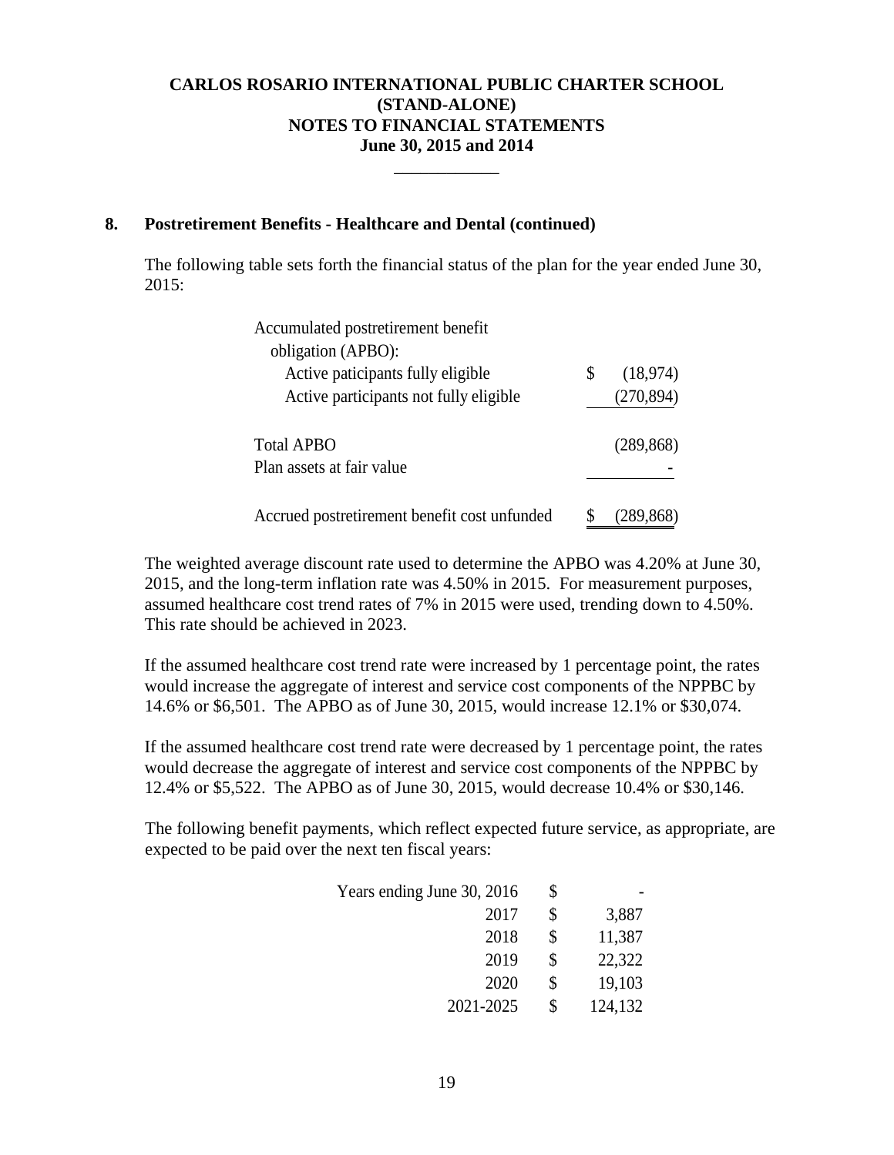\_\_\_\_\_\_\_\_\_\_\_\_

## **8. Postretirement Benefits - Healthcare and Dental (continued)**

The following table sets forth the financial status of the plan for the year ended June 30, 2015:

| Accumulated postretirement benefit           |                |
|----------------------------------------------|----------------|
| obligation (APBO):                           |                |
| Active paticipants fully eligible            | \$<br>(18,974) |
| Active participants not fully eligible       | (270, 894)     |
|                                              |                |
| <b>Total APBO</b>                            | (289, 868)     |
| Plan assets at fair value                    |                |
|                                              |                |
| Accrued postretirement benefit cost unfunded |                |

The weighted average discount rate used to determine the APBO was 4.20% at June 30, 2015, and the long-term inflation rate was 4.50% in 2015. For measurement purposes, assumed healthcare cost trend rates of 7% in 2015 were used, trending down to 4.50%. This rate should be achieved in 2023.

If the assumed healthcare cost trend rate were increased by 1 percentage point, the rates would increase the aggregate of interest and service cost components of the NPPBC by 14.6% or \$6,501. The APBO as of June 30, 2015, would increase 12.1% or \$30,074.

If the assumed healthcare cost trend rate were decreased by 1 percentage point, the rates would decrease the aggregate of interest and service cost components of the NPPBC by 12.4% or \$5,522. The APBO as of June 30, 2015, would decrease 10.4% or \$30,146.

The following benefit payments, which reflect expected future service, as appropriate, are expected to be paid over the next ten fiscal years:

| Years ending June 30, 2016 | \$            |
|----------------------------|---------------|
| 2017                       | \$<br>3,887   |
| 2018                       | \$<br>11,387  |
| 2019                       | \$<br>22,322  |
| 2020                       | \$<br>19,103  |
| 2021-2025                  | \$<br>124,132 |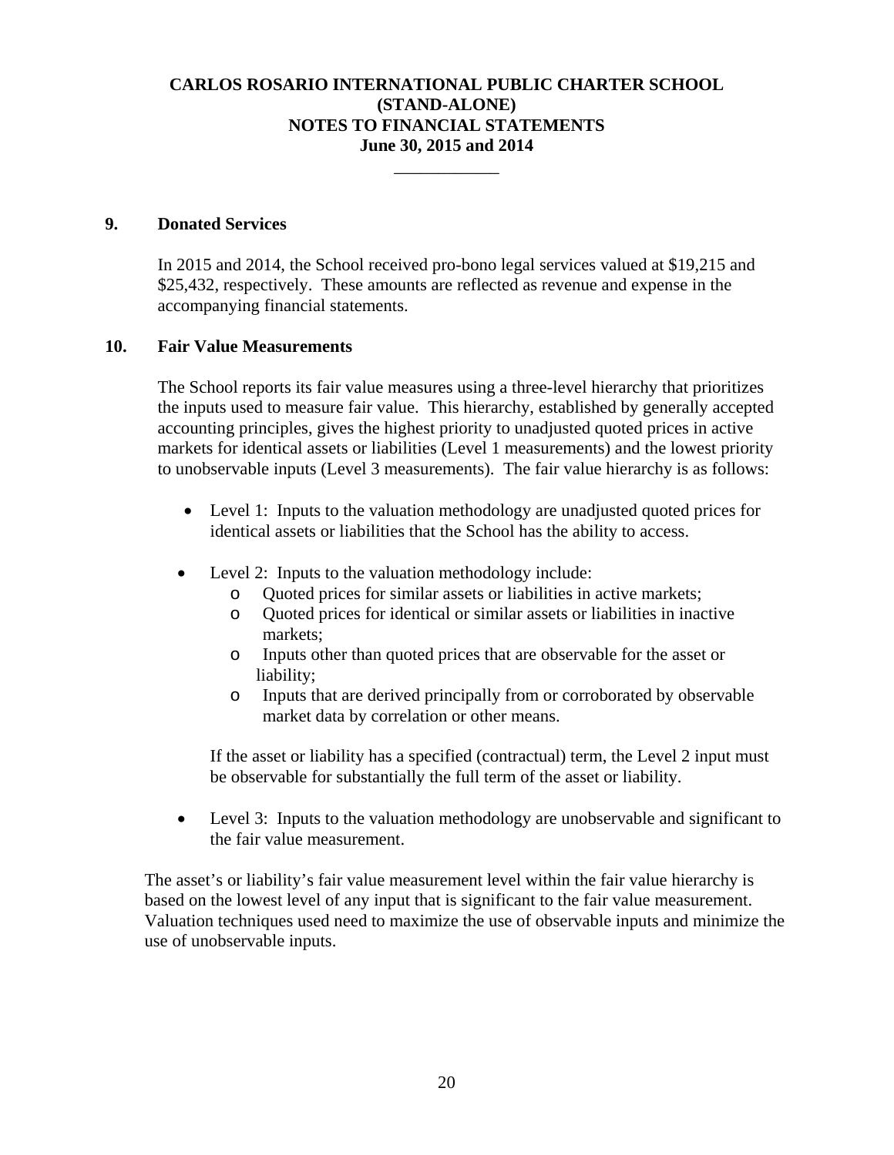\_\_\_\_\_\_\_\_\_\_\_\_

#### **9. Donated Services**

In 2015 and 2014, the School received pro-bono legal services valued at \$19,215 and \$25,432, respectively. These amounts are reflected as revenue and expense in the accompanying financial statements.

#### **10. Fair Value Measurements**

The School reports its fair value measures using a three-level hierarchy that prioritizes the inputs used to measure fair value. This hierarchy, established by generally accepted accounting principles, gives the highest priority to unadjusted quoted prices in active markets for identical assets or liabilities (Level 1 measurements) and the lowest priority to unobservable inputs (Level 3 measurements). The fair value hierarchy is as follows:

- Level 1: Inputs to the valuation methodology are unadjusted quoted prices for identical assets or liabilities that the School has the ability to access.
- Level 2: Inputs to the valuation methodology include:
	- o Quoted prices for similar assets or liabilities in active markets;
	- o Quoted prices for identical or similar assets or liabilities in inactive markets;
	- o Inputs other than quoted prices that are observable for the asset or liability;
	- o Inputs that are derived principally from or corroborated by observable market data by correlation or other means.

If the asset or liability has a specified (contractual) term, the Level 2 input must be observable for substantially the full term of the asset or liability.

 Level 3: Inputs to the valuation methodology are unobservable and significant to the fair value measurement.

 The asset's or liability's fair value measurement level within the fair value hierarchy is based on the lowest level of any input that is significant to the fair value measurement. Valuation techniques used need to maximize the use of observable inputs and minimize the use of unobservable inputs.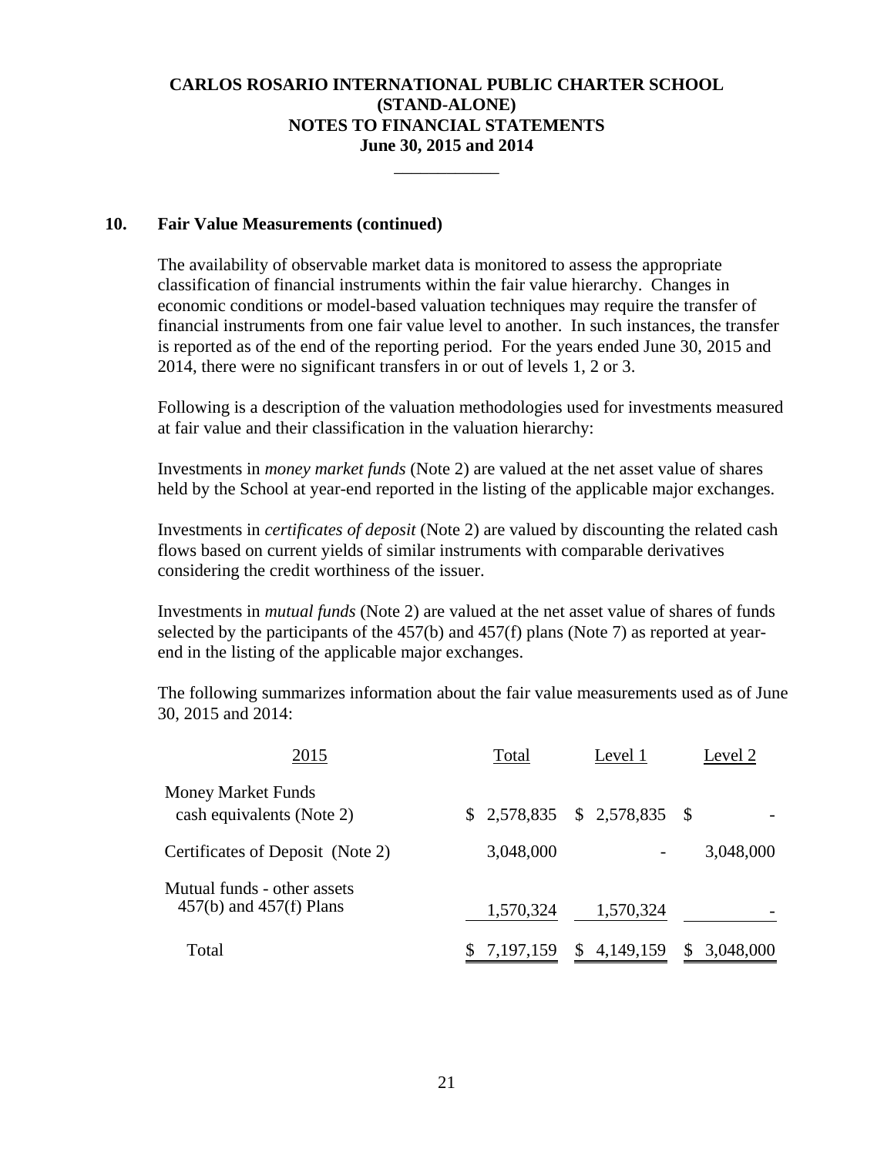\_\_\_\_\_\_\_\_\_\_\_\_

#### **10. Fair Value Measurements (continued)**

The availability of observable market data is monitored to assess the appropriate classification of financial instruments within the fair value hierarchy. Changes in economic conditions or model-based valuation techniques may require the transfer of financial instruments from one fair value level to another. In such instances, the transfer is reported as of the end of the reporting period. For the years ended June 30, 2015 and 2014, there were no significant transfers in or out of levels 1, 2 or 3.

Following is a description of the valuation methodologies used for investments measured at fair value and their classification in the valuation hierarchy:

Investments in *money market funds* (Note 2) are valued at the net asset value of shares held by the School at year-end reported in the listing of the applicable major exchanges.

Investments in *certificates of deposit* (Note 2) are valued by discounting the related cash flows based on current yields of similar instruments with comparable derivatives considering the credit worthiness of the issuer.

Investments in *mutual funds* (Note 2) are valued at the net asset value of shares of funds selected by the participants of the 457(b) and 457(f) plans (Note 7) as reported at yearend in the listing of the applicable major exchanges.

The following summarizes information about the fair value measurements used as of June 30, 2015 and 2014:

| 2015                                                       | Total       | Level 1                       | Level 2   |
|------------------------------------------------------------|-------------|-------------------------------|-----------|
| <b>Money Market Funds</b><br>cash equivalents (Note 2)     |             | $$2,578,835$ $$2,578,835$ $$$ |           |
| Certificates of Deposit (Note 2)                           | 3,048,000   |                               | 3,048,000 |
| Mutual funds - other assets<br>$457(b)$ and $457(f)$ Plans | 1,570,324   | 1,570,324                     |           |
| Total                                                      | 7, 197, 159 | 4, 149, 159<br>S              | 3,048,000 |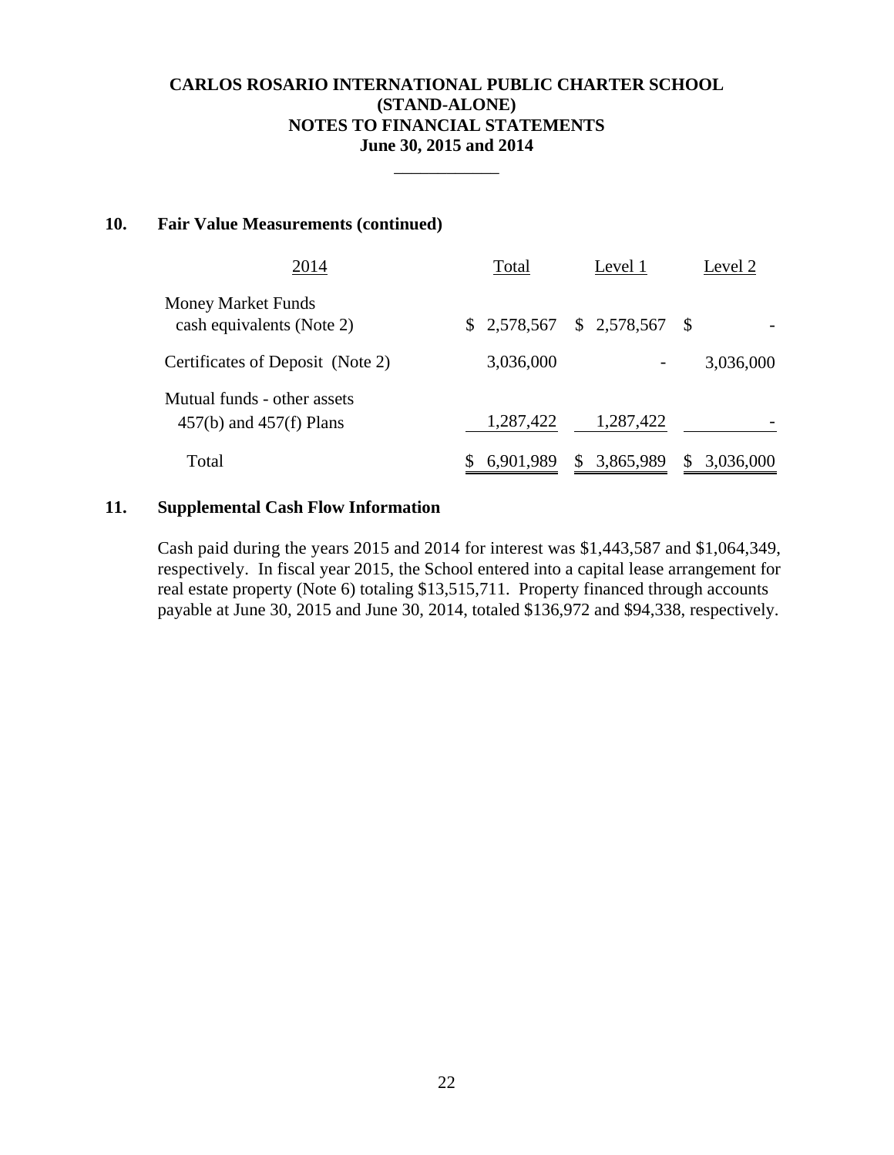\_\_\_\_\_\_\_\_\_\_\_\_

#### **10. Fair Value Measurements (continued)**

| 2014                                                       | Total     | Level 1                       | Level 2   |
|------------------------------------------------------------|-----------|-------------------------------|-----------|
| <b>Money Market Funds</b><br>cash equivalents (Note 2)     |           | $$2,578,567$ $$2,578,567$ $$$ |           |
| Certificates of Deposit (Note 2)                           | 3,036,000 |                               | 3,036,000 |
| Mutual funds - other assets<br>$457(b)$ and $457(f)$ Plans | 1,287,422 | 1,287,422                     |           |
| Total                                                      | 6,901,989 | 3,865,989<br>S                | 3,036,000 |

## **11. Supplemental Cash Flow Information**

Cash paid during the years 2015 and 2014 for interest was \$1,443,587 and \$1,064,349, respectively. In fiscal year 2015, the School entered into a capital lease arrangement for real estate property (Note 6) totaling \$13,515,711. Property financed through accounts payable at June 30, 2015 and June 30, 2014, totaled \$136,972 and \$94,338, respectively.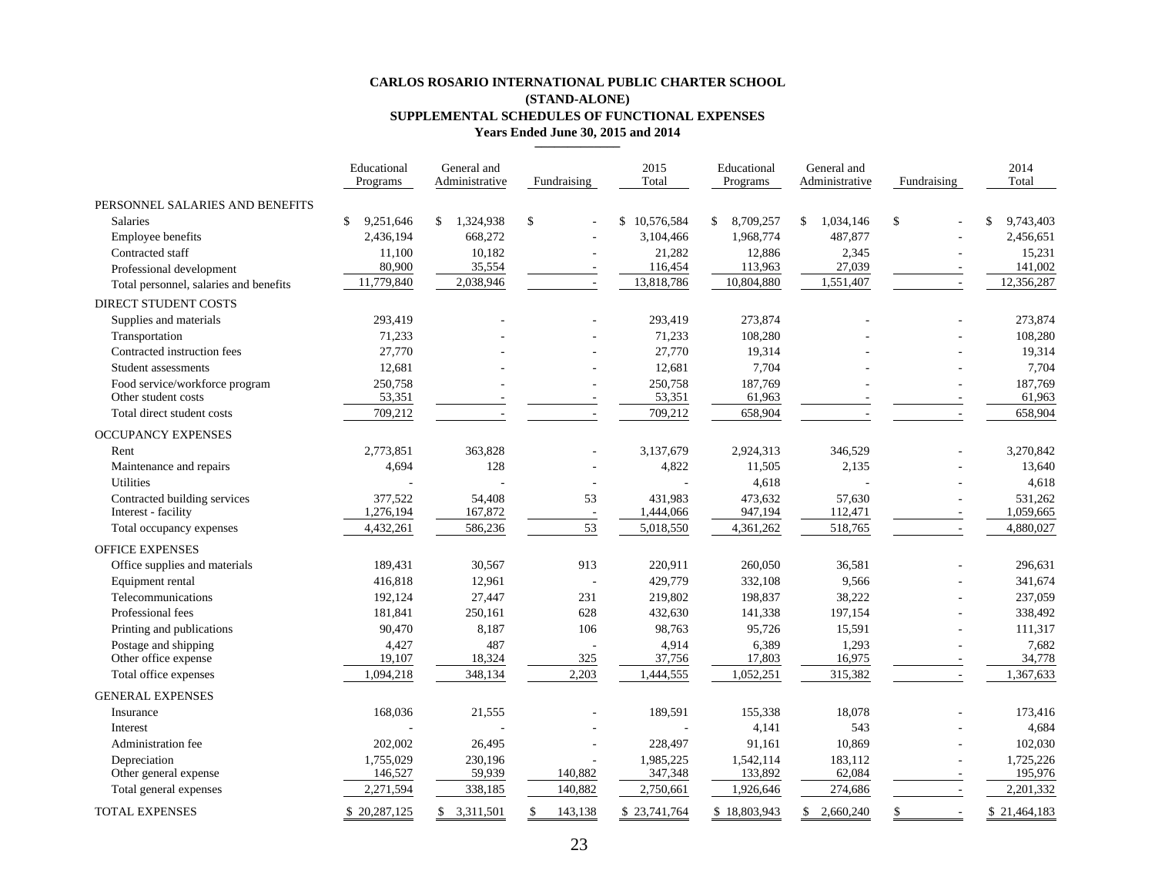#### **CARLOS ROSARIO INTERNATIONAL PUBLIC CHARTER SCHOOL(STAND-ALONE) SUPPLEMENTAL SCHEDULES OF FUNCTIONAL EXPENSES Years Ended June 30, 2015 and 2014**

|                                        | Educational<br>Programs    | General and<br>Administrative | Fundraising   | 2015<br>Total | Educational<br>Programs | General and<br>Administrative | Fundraising  | 2014<br>Total   |
|----------------------------------------|----------------------------|-------------------------------|---------------|---------------|-------------------------|-------------------------------|--------------|-----------------|
| PERSONNEL SALARIES AND BENEFITS        |                            |                               |               |               |                         |                               |              |                 |
| Salaries                               | $\mathcal{S}$<br>9,251,646 | $\mathbb{S}^-$<br>1,324,938   | \$            | \$10,576,584  | 8,709,257<br>\$         | \$<br>1,034,146               | $\mathbb{S}$ | \$<br>9,743,403 |
| Employee benefits                      | 2,436,194                  | 668,272                       |               | 3,104,466     | 1,968,774               | 487,877                       |              | 2,456,651       |
| Contracted staff                       | 11,100                     | 10,182                        |               | 21,282        | 12,886                  | 2,345                         |              | 15,231          |
| Professional development               | 80,900                     | 35,554                        |               | 116,454       | 113,963                 | 27,039                        |              | 141,002         |
| Total personnel, salaries and benefits | 11,779,840                 | 2,038,946                     |               | 13,818,786    | 10,804,880              | 1,551,407                     |              | 12,356,287      |
| DIRECT STUDENT COSTS                   |                            |                               |               |               |                         |                               |              |                 |
| Supplies and materials                 | 293,419                    |                               |               | 293,419       | 273,874                 |                               |              | 273,874         |
| Transportation                         | 71,233                     |                               |               | 71,233        | 108,280                 |                               |              | 108,280         |
| Contracted instruction fees            | 27,770                     |                               |               | 27,770        | 19,314                  |                               |              | 19,314          |
| Student assessments                    | 12,681                     |                               |               | 12,681        | 7,704                   |                               |              | 7,704           |
| Food service/workforce program         | 250,758                    |                               |               | 250,758       | 187,769                 |                               |              | 187,769         |
| Other student costs                    | 53,351                     |                               |               | 53,351        | 61,963                  |                               |              | 61,963          |
| Total direct student costs             | 709,212                    |                               |               | 709,212       | 658,904                 |                               |              | 658,904         |
| <b>OCCUPANCY EXPENSES</b>              |                            |                               |               |               |                         |                               |              |                 |
| Rent                                   | 2,773,851                  | 363,828                       |               | 3,137,679     | 2,924,313               | 346,529                       |              | 3,270,842       |
| Maintenance and repairs                | 4,694                      | 128                           |               | 4,822         | 11,505                  | 2,135                         |              | 13,640          |
| <b>Utilities</b>                       |                            |                               |               |               | 4,618                   |                               |              | 4,618           |
| Contracted building services           | 377,522                    | 54,408                        | 53            | 431.983       | 473,632                 | 57,630                        |              | 531,262         |
| Interest - facility                    | 1,276,194                  | 167,872                       | ÷.            | 1,444,066     | 947,194                 | 112,471                       |              | 1,059,665       |
| Total occupancy expenses               | 4,432,261                  | 586,236                       | 53            | 5,018,550     | 4,361,262               | 518,765                       | ٠.           | 4,880,027       |
| <b>OFFICE EXPENSES</b>                 |                            |                               |               |               |                         |                               |              |                 |
| Office supplies and materials          | 189,431                    | 30,567                        | 913           | 220,911       | 260,050                 | 36,581                        |              | 296,631         |
| Equipment rental                       | 416,818                    | 12,961                        |               | 429,779       | 332,108                 | 9,566                         |              | 341,674         |
| Telecommunications                     | 192,124                    | 27,447                        | 231           | 219,802       | 198,837                 | 38,222                        |              | 237,059         |
| Professional fees                      | 181,841                    | 250,161                       | 628           | 432,630       | 141,338                 | 197,154                       |              | 338,492         |
| Printing and publications              | 90,470                     | 8,187                         | 106           | 98,763        | 95,726                  | 15,591                        |              | 111,317         |
| Postage and shipping                   | 4,427                      | 487                           |               | 4,914         | 6,389                   | 1,293                         |              | 7,682           |
| Other office expense                   | 19,107                     | 18,324                        | 325           | 37,756        | 17,803                  | 16,975                        |              | 34,778          |
| Total office expenses                  | 1,094,218                  | 348,134                       | 2,203         | 1,444,555     | 1,052,251               | 315,382                       | $\sim$       | 1,367,633       |
| <b>GENERAL EXPENSES</b>                |                            |                               |               |               |                         |                               |              |                 |
| Insurance                              | 168,036                    | 21,555                        |               | 189,591       | 155,338                 | 18,078                        |              | 173,416         |
| Interest                               |                            |                               |               |               | 4,141                   | 543                           |              | 4,684           |
| Administration fee                     | 202,002                    | 26,495                        |               | 228,497       | 91,161                  | 10,869                        |              | 102,030         |
| Depreciation                           | 1,755,029                  | 230,196                       |               | 1,985,225     | 1,542,114               | 183,112                       |              | 1,725,226       |
| Other general expense                  | 146,527                    | 59,939                        | 140,882       | 347,348       | 133,892                 | 62,084                        |              | 195,976         |
| Total general expenses                 | 2,271,594                  | 338,185                       | 140,882       | 2,750,661     | 1,926,646               | 274,686                       | $\sim$       | 2,201,332       |
| <b>TOTAL EXPENSES</b>                  | \$20,287,125               | \$3,311,501                   | \$<br>143,138 | \$23,741,764  | \$18,803,943            | \$2.660.240                   | \$<br>÷.     | \$21,464,183    |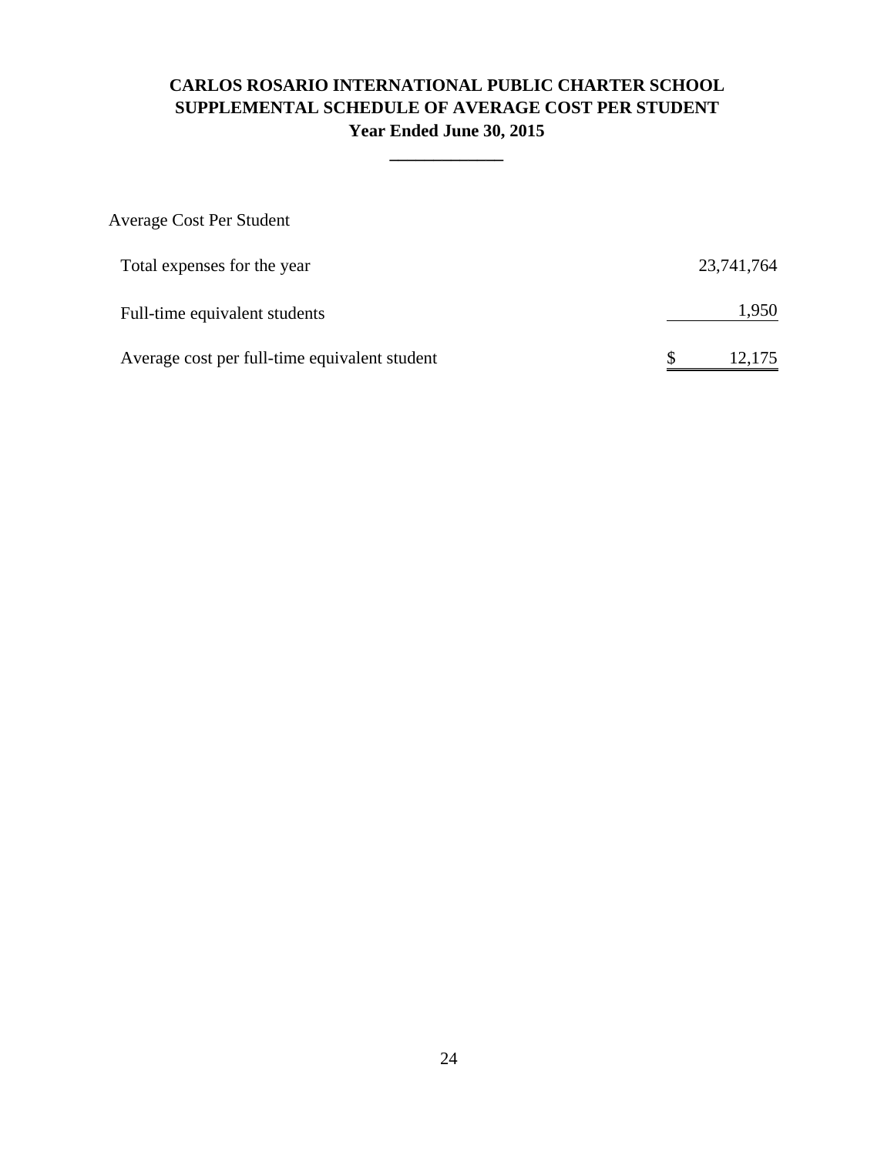# **CARLOS ROSARIO INTERNATIONAL PUBLIC CHARTER SCHOOL SUPPLEMENTAL SCHEDULE OF AVERAGE COST PER STUDENT Year Ended June 30, 2015**

**\_\_\_\_\_\_\_\_\_\_\_\_\_**

| <b>Average Cost Per Student</b>               |            |
|-----------------------------------------------|------------|
| Total expenses for the year                   | 23,741,764 |
| Full-time equivalent students                 | 1,950      |
| Average cost per full-time equivalent student | 12.175     |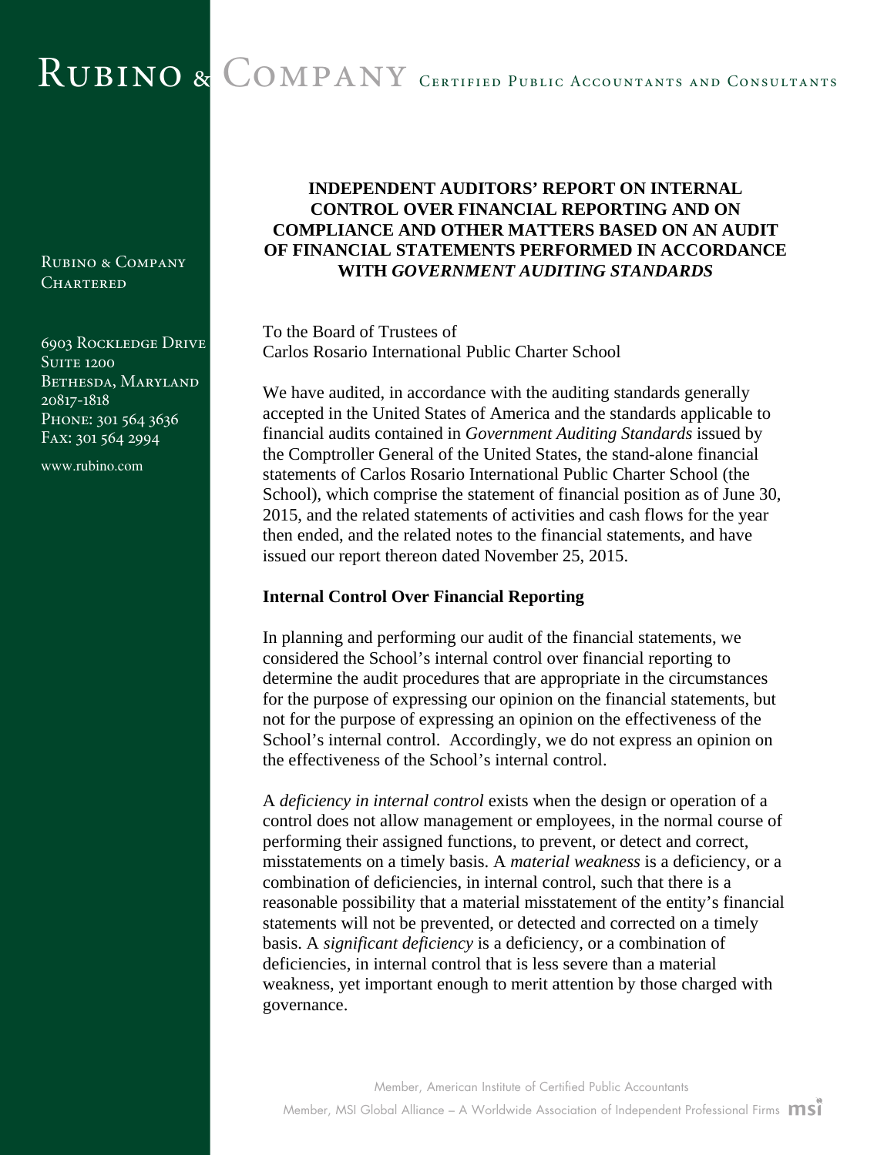# RUBINO & COMPANY CERTIFIED PUBLIC ACCOUNTANTS AND CONSULTANTS

Rubino & Company **CHARTERED** 

6903 Rockledge Drive **SUITE 1200** BETHESDA, MARYLAND 20817-1818 PHONE: 301 564 3636 Fax: 301 564 2994

www.rubino.com

# **INDEPENDENT AUDITORS' REPORT ON INTERNAL CONTROL OVER FINANCIAL REPORTING AND ON COMPLIANCE AND OTHER MATTERS BASED ON AN AUDIT OF FINANCIAL STATEMENTS PERFORMED IN ACCORDANCE WITH** *GOVERNMENT AUDITING STANDARDS*

To the Board of Trustees of Carlos Rosario International Public Charter School

We have audited, in accordance with the auditing standards generally accepted in the United States of America and the standards applicable to financial audits contained in *Government Auditing Standards* issued by the Comptroller General of the United States, the stand-alone financial statements of Carlos Rosario International Public Charter School (the School), which comprise the statement of financial position as of June 30, 2015, and the related statements of activities and cash flows for the year then ended, and the related notes to the financial statements, and have issued our report thereon dated November 25, 2015.

## **Internal Control Over Financial Reporting**

In planning and performing our audit of the financial statements, we considered the School's internal control over financial reporting to determine the audit procedures that are appropriate in the circumstances for the purpose of expressing our opinion on the financial statements, but not for the purpose of expressing an opinion on the effectiveness of the School's internal control. Accordingly, we do not express an opinion on the effectiveness of the School's internal control.

A *deficiency in internal control* exists when the design or operation of a control does not allow management or employees, in the normal course of performing their assigned functions, to prevent, or detect and correct, misstatements on a timely basis. A *material weakness* is a deficiency, or a combination of deficiencies, in internal control, such that there is a reasonable possibility that a material misstatement of the entity's financial statements will not be prevented, or detected and corrected on a timely basis. A *significant deficiency* is a deficiency, or a combination of deficiencies, in internal control that is less severe than a material weakness, yet important enough to merit attention by those charged with governance.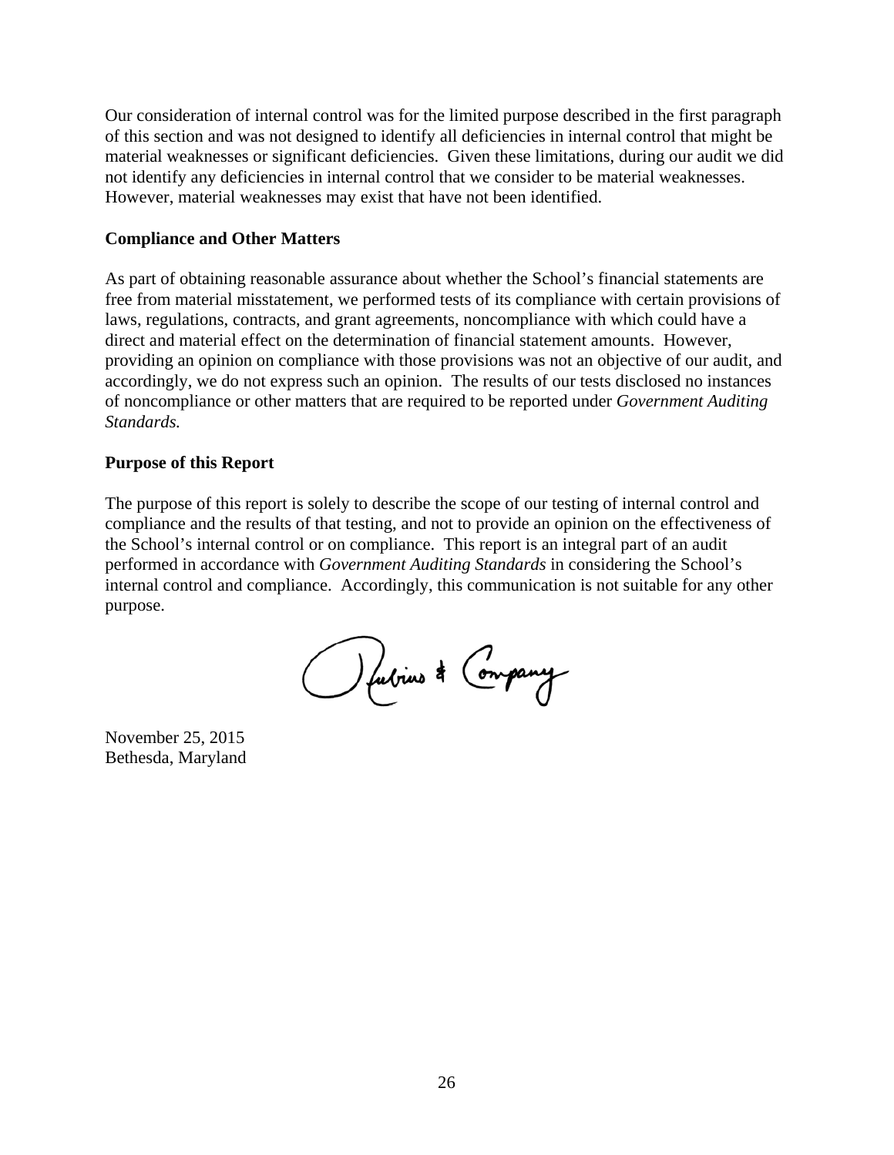Our consideration of internal control was for the limited purpose described in the first paragraph of this section and was not designed to identify all deficiencies in internal control that might be material weaknesses or significant deficiencies. Given these limitations, during our audit we did not identify any deficiencies in internal control that we consider to be material weaknesses. However, material weaknesses may exist that have not been identified.

#### **Compliance and Other Matters**

As part of obtaining reasonable assurance about whether the School's financial statements are free from material misstatement, we performed tests of its compliance with certain provisions of laws, regulations, contracts, and grant agreements, noncompliance with which could have a direct and material effect on the determination of financial statement amounts. However, providing an opinion on compliance with those provisions was not an objective of our audit, and accordingly, we do not express such an opinion. The results of our tests disclosed no instances of noncompliance or other matters that are required to be reported under *Government Auditing Standards.* 

#### **Purpose of this Report**

The purpose of this report is solely to describe the scope of our testing of internal control and compliance and the results of that testing, and not to provide an opinion on the effectiveness of the School's internal control or on compliance. This report is an integral part of an audit performed in accordance with *Government Auditing Standards* in considering the School's internal control and compliance. Accordingly, this communication is not suitable for any other purpose.

O fubrius \* Company

November 25, 2015 Bethesda, Maryland